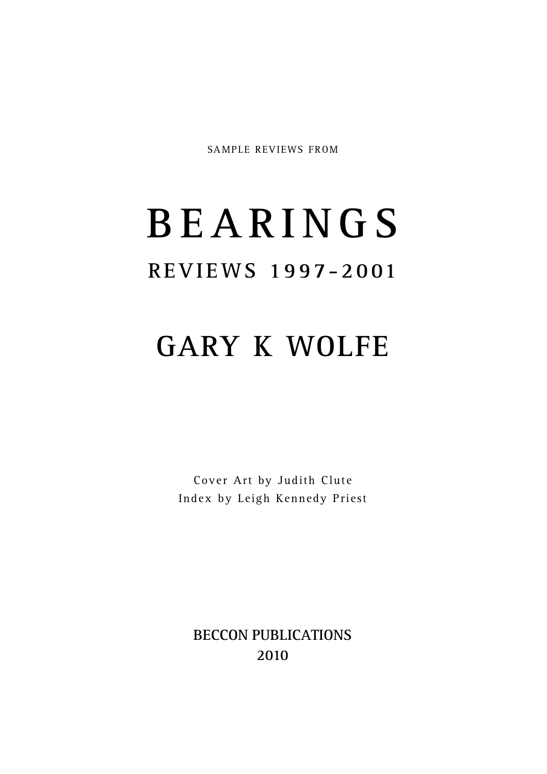SAMPLE REVIEWS FROM

# **B E A R I N G S R E V I E WS 1 99 7-20 01**

## **GARY K WOLFE**

Cover Art by Judith Clute Index by Leigh Kennedy Priest

**BECCON PUBLICATIONS 2010**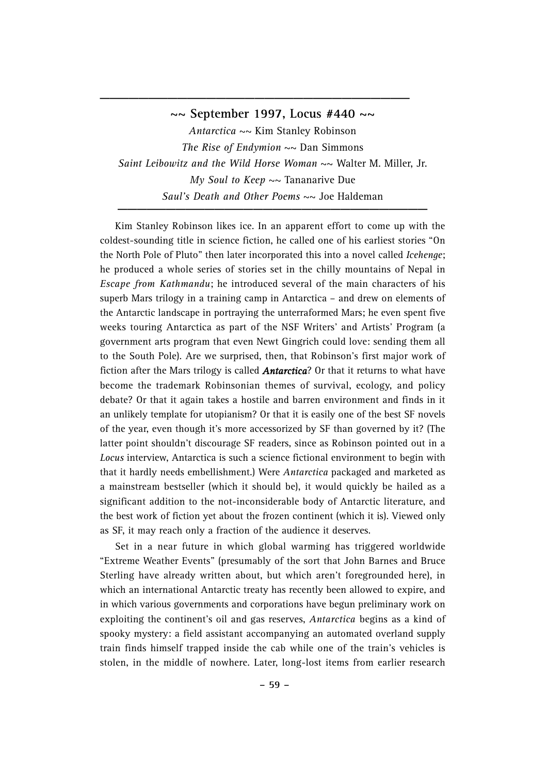#### **~~ September 1997, Locus #440 ~~**

**\_\_\_\_\_\_\_\_\_\_\_\_\_\_\_\_\_\_\_\_\_\_\_\_\_\_\_\_\_\_\_\_**

*Antarctica* ~~ Kim Stanley Robinson *The Rise of Endymion*  $\sim$  Dan Simmons *Saint Leibowitz and the Wild Horse Woman* ~~ Walter M. Miller, Jr. *My Soul to Keep* ~~ Tananarive Due *Saul's Death and Other Poems*  $\sim$  Joe Haldeman

Kim Stanley Robinson likes ice. In an apparent effort to come up with the coldest-sounding title in science fiction, he called one of his earliest stories "On the North Pole of Pluto" then later incorporated this into a novel called *Icehenge*; he produced a whole series of stories set in the chilly mountains of Nepal in *Escape from Kathmandu*; he introduced several of the main characters of his superb Mars trilogy in a training camp in Antarctica – and drew on elements of the Antarctic landscape in portraying the unterraformed Mars; he even spent five weeks touring Antarctica as part of the NSF Writers' and Artists' Program (a government arts program that even Newt Gingrich could love: sending them all to the South Pole). Are we surprised, then, that Robinson's first major work of fiction after the Mars trilogy is called *Antarctica*? Or that it returns to what have become the trademark Robinsonian themes of survival, ecology, and policy debate? Or that it again takes a hostile and barren environment and finds in it an unlikely template for utopianism? Or that it is easily one of the best SF novels of the year, even though it's more accessorized by SF than governed by it? (The latter point shouldn't discourage SF readers, since as Robinson pointed out in a *Locus* interview, Antarctica is such a science fictional environment to begin with that it hardly needs embellishment.) Were *Antarctica* packaged and marketed as a mainstream bestseller (which it should be), it would quickly be hailed as a significant addition to the not-inconsiderable body of Antarctic literature, and the best work of fiction yet about the frozen continent (which it is). Viewed only as SF, it may reach only a fraction of the audience it deserves.

Set in a near future in which global warming has triggered worldwide "Extreme Weather Events" (presumably of the sort that John Barnes and Bruce Sterling have already written about, but which aren't foregrounded here), in which an international Antarctic treaty has recently been allowed to expire, and in which various governments and corporations have begun preliminary work on exploiting the continent's oil and gas reserves, *Antarctica* begins as a kind of spooky mystery: a field assistant accompanying an automated overland supply train finds himself trapped inside the cab while one of the train's vehicles is stolen, in the middle of nowhere. Later, long-lost items from earlier research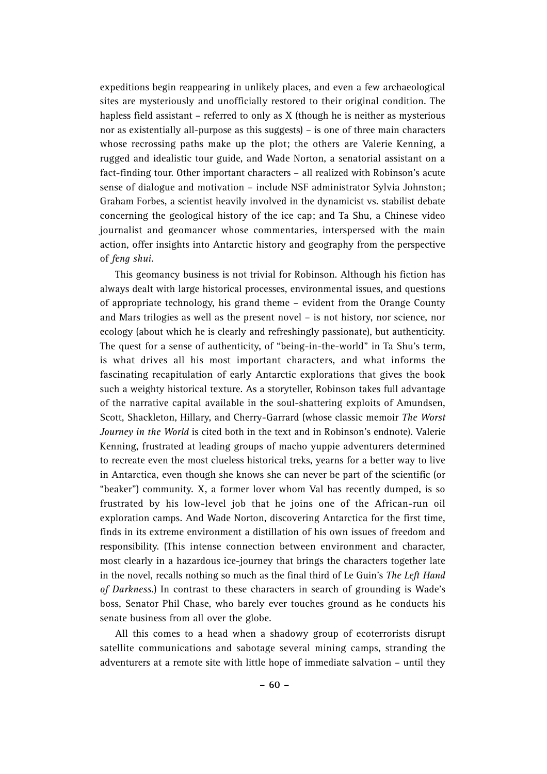expeditions begin reappearing in unlikely places, and even a few archaeological sites are mysteriously and unofficially restored to their original condition. The hapless field assistant – referred to only as X (though he is neither as mysterious nor as existentially all-purpose as this suggests) – is one of three main characters whose recrossing paths make up the plot; the others are Valerie Kenning, a rugged and idealistic tour guide, and Wade Norton, a senatorial assistant on a fact-finding tour. Other important characters – all realized with Robinson's acute sense of dialogue and motivation – include NSF administrator Sylvia Johnston; Graham Forbes, a scientist heavily involved in the dynamicist vs. stabilist debate concerning the geological history of the ice cap; and Ta Shu, a Chinese video journalist and geomancer whose commentaries, interspersed with the main action, offer insights into Antarctic history and geography from the perspective of *feng shui*.

This geomancy business is not trivial for Robinson. Although his fiction has always dealt with large historical processes, environmental issues, and questions of appropriate technology, his grand theme – evident from the Orange County and Mars trilogies as well as the present novel – is not history, nor science, nor ecology (about which he is clearly and refreshingly passionate), but authenticity. The quest for a sense of authenticity, of "being-in-the-world" in Ta Shu's term, is what drives all his most important characters, and what informs the fascinating recapitulation of early Antarctic explorations that gives the book such a weighty historical texture. As a storyteller, Robinson takes full advantage of the narrative capital available in the soul-shattering exploits of Amundsen, Scott, Shackleton, Hillary, and Cherry-Garrard (whose classic memoir *The Worst Journey in the World* is cited both in the text and in Robinson's endnote). Valerie Kenning, frustrated at leading groups of macho yuppie adventurers determined to recreate even the most clueless historical treks, yearns for a better way to live in Antarctica, even though she knows she can never be part of the scientific (or "beaker") community. X, a former lover whom Val has recently dumped, is so frustrated by his low-level job that he joins one of the African-run oil exploration camps. And Wade Norton, discovering Antarctica for the first time, finds in its extreme environment a distillation of his own issues of freedom and responsibility. (This intense connection between environment and character, most clearly in a hazardous ice-journey that brings the characters together late in the novel, recalls nothing so much as the final third of Le Guin's *The Left Hand of Darkness*.) In contrast to these characters in search of grounding is Wade's boss, Senator Phil Chase, who barely ever touches ground as he conducts his senate business from all over the globe.

All this comes to a head when a shadowy group of ecoterrorists disrupt satellite communications and sabotage several mining camps, stranding the adventurers at a remote site with little hope of immediate salvation – until they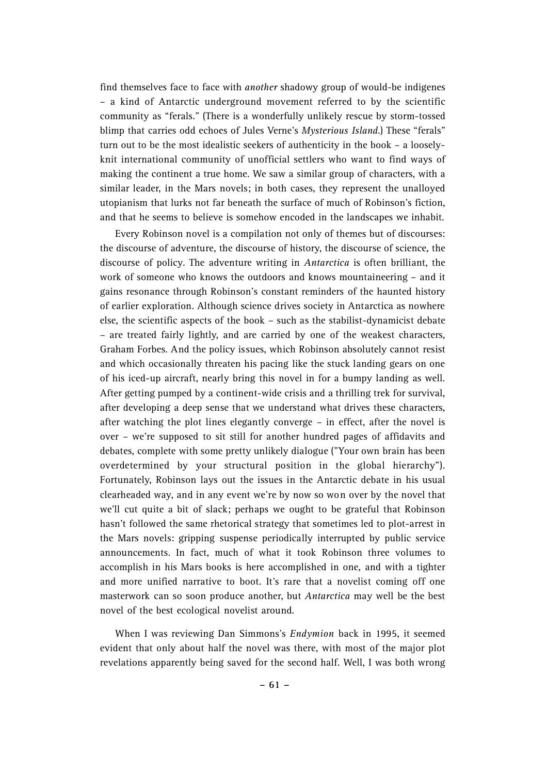find themselves face to face with *another* shadowy group of would-be indigenes – a kind of Antarctic underground movement referred to by the scientific community as "ferals." (There is a wonderfully unlikely rescue by storm-tossed blimp that carries odd echoes of Jules Verne's *Mysterious Island*.) These "ferals" turn out to be the most idealistic seekers of authenticity in the book – a looselyknit international community of unofficial settlers who want to find ways of making the continent a true home. We saw a similar group of characters, with a similar leader, in the Mars novels; in both cases, they represent the unalloyed utopianism that lurks not far beneath the surface of much of Robinson's fiction, and that he seems to believe is somehow encoded in the landscapes we inhabit.

Every Robinson novel is a compilation not only of themes but of discourses: the discourse of adventure, the discourse of history, the discourse of science, the discourse of policy. The adventure writing in *Antarctica* is often brilliant, the work of someone who knows the outdoors and knows mountaineering – and it gains resonance through Robinson's constant reminders of the haunted history of earlier exploration. Although science drives society in Antarctica as nowhere else, the scientific aspects of the book – such as the stabilist-dynamicist debate – are treated fairly lightly, and are carried by one of the weakest characters, Graham Forbes. And the policy issues, which Robinson absolutely cannot resist and which occasionally threaten his pacing like the stuck landing gears on one of his iced-up aircraft, nearly bring this novel in for a bumpy landing as well. After getting pumped by a continent-wide crisis and a thrilling trek for survival, after developing a deep sense that we understand what drives these characters, after watching the plot lines elegantly converge – in effect, after the novel is over – we're supposed to sit still for another hundred pages of affidavits and debates, complete with some pretty unlikely dialogue ("Your own brain has been overdetermined by your structural position in the global hierarchy"). Fortunately, Robinson lays out the issues in the Antarctic debate in his usual clearheaded way, and in any event we're by now so won over by the novel that we'll cut quite a bit of slack; perhaps we ought to be grateful that Robinson hasn't followed the same rhetorical strategy that sometimes led to plot-arrest in the Mars novels: gripping suspense periodically interrupted by public service announcements. In fact, much of what it took Robinson three volumes to accomplish in his Mars books is here accomplished in one, and with a tighter and more unified narrative to boot. It's rare that a novelist coming off one masterwork can so soon produce another, but *Antarctica* may well be the best novel of the best ecological novelist around.

When I was reviewing Dan Simmons's *Endymion* back in 1995, it seemed evident that only about half the novel was there, with most of the major plot revelations apparently being saved for the second half. Well, I was both wrong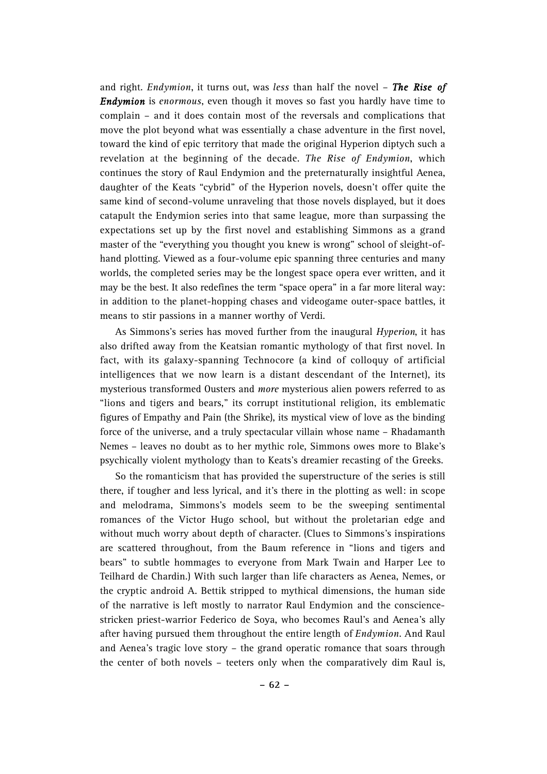and right. *Endymion*, it turns out, was *less* than half the novel – *The Rise of Endymion* is *enormous*, even though it moves so fast you hardly have time to complain – and it does contain most of the reversals and complications that move the plot beyond what was essentially a chase adventure in the first novel, toward the kind of epic territory that made the original Hyperion diptych such a revelation at the beginning of the decade. *The Rise of Endymion*, which continues the story of Raul Endymion and the preternaturally insightful Aenea, daughter of the Keats "cybrid" of the Hyperion novels, doesn't offer quite the same kind of second-volume unraveling that those novels displayed, but it does catapult the Endymion series into that same league, more than surpassing the expectations set up by the first novel and establishing Simmons as a grand master of the "everything you thought you knew is wrong" school of sleight-ofhand plotting. Viewed as a four-volume epic spanning three centuries and many worlds, the completed series may be the longest space opera ever written, and it may be the best. It also redefines the term "space opera" in a far more literal way: in addition to the planet-hopping chases and videogame outer-space battles, it means to stir passions in a manner worthy of Verdi.

As Simmons's series has moved further from the inaugural *Hyperion*, it has also drifted away from the Keatsian romantic mythology of that first novel. In fact, with its galaxy-spanning Technocore (a kind of colloquy of artificial intelligences that we now learn is a distant descendant of the Internet), its mysterious transformed Ousters and *more* mysterious alien powers referred to as "lions and tigers and bears," its corrupt institutional religion, its emblematic figures of Empathy and Pain (the Shrike), its mystical view of love as the binding force of the universe, and a truly spectacular villain whose name – Rhadamanth Nemes – leaves no doubt as to her mythic role, Simmons owes more to Blake's psychically violent mythology than to Keats's dreamier recasting of the Greeks.

So the romanticism that has provided the superstructure of the series is still there, if tougher and less lyrical, and it's there in the plotting as well: in scope and melodrama, Simmons's models seem to be the sweeping sentimental romances of the Victor Hugo school, but without the proletarian edge and without much worry about depth of character. (Clues to Simmons's inspirations are scattered throughout, from the Baum reference in "lions and tigers and bears" to subtle hommages to everyone from Mark Twain and Harper Lee to Teilhard de Chardin.) With such larger than life characters as Aenea, Nemes, or the cryptic android A. Bettik stripped to mythical dimensions, the human side of the narrative is left mostly to narrator Raul Endymion and the consciencestricken priest-warrior Federico de Soya, who becomes Raul's and Aenea's ally after having pursued them throughout the entire length of *Endymion*. And Raul and Aenea's tragic love story – the grand operatic romance that soars through the center of both novels – teeters only when the comparatively dim Raul is,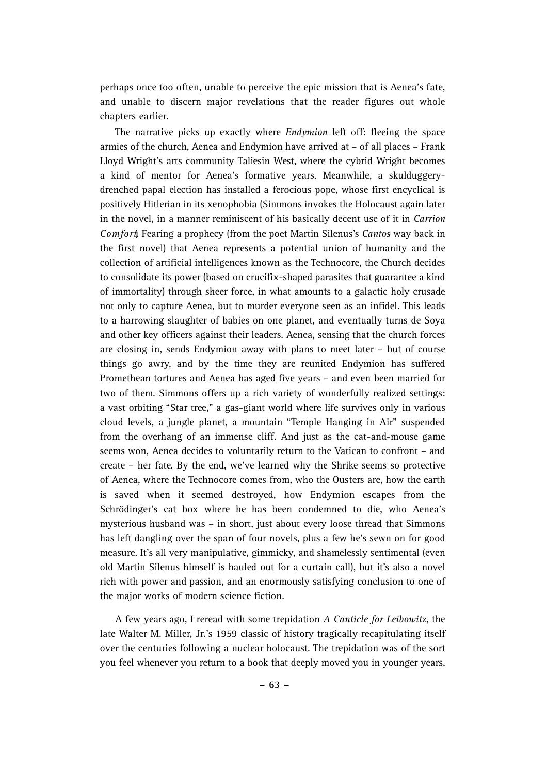perhaps once too often, unable to perceive the epic mission that is Aenea's fate, and unable to discern major revelations that the reader figures out whole chapters earlier.

The narrative picks up exactly where *Endymion* left off: fleeing the space armies of the church, Aenea and Endymion have arrived at – of all places – Frank Lloyd Wright's arts community Taliesin West, where the cybrid Wright becomes a kind of mentor for Aenea's formative years. Meanwhile, a skulduggerydrenched papal election has installed a ferocious pope, whose first encyclical is positively Hitlerian in its xenophobia (Simmons invokes the Holocaust again later in the novel, in a manner reminiscent of his basically decent use of it in *Carrion Comfort*, Fearing a prophecy (from the poet Martin Silenus's *Cantos* way back in the first novel) that Aenea represents a potential union of humanity and the collection of artificial intelligences known as the Technocore, the Church decides to consolidate its power (based on crucifix-shaped parasites that guarantee a kind of immortality) through sheer force, in what amounts to a galactic holy crusade not only to capture Aenea, but to murder everyone seen as an infidel. This leads to a harrowing slaughter of babies on one planet, and eventually turns de Soya and other key officers against their leaders. Aenea, sensing that the church forces are closing in, sends Endymion away with plans to meet later – but of course things go awry, and by the time they are reunited Endymion has suffered Promethean tortures and Aenea has aged five years – and even been married for two of them. Simmons offers up a rich variety of wonderfully realized settings: a vast orbiting "Star tree," a gas-giant world where life survives only in various cloud levels, a jungle planet, a mountain "Temple Hanging in Air" suspended from the overhang of an immense cliff. And just as the cat-and-mouse game seems won, Aenea decides to voluntarily return to the Vatican to confront – and create – her fate. By the end, we've learned why the Shrike seems so protective of Aenea, where the Technocore comes from, who the Ousters are, how the earth is saved when it seemed destroyed, how Endymion escapes from the Schrödinger's cat box where he has been condemned to die, who Aenea's mysterious husband was – in short, just about every loose thread that Simmons has left dangling over the span of four novels, plus a few he's sewn on for good measure. It's all very manipulative, gimmicky, and shamelessly sentimental (even old Martin Silenus himself is hauled out for a curtain call), but it's also a novel rich with power and passion, and an enormously satisfying conclusion to one of the major works of modern science fiction.

A few years ago, I reread with some trepidation *A Canticle for Leibowitz*, the late Walter M. Miller, Jr.'s 1959 classic of history tragically recapitulating itself over the centuries following a nuclear holocaust. The trepidation was of the sort you feel whenever you return to a book that deeply moved you in younger years,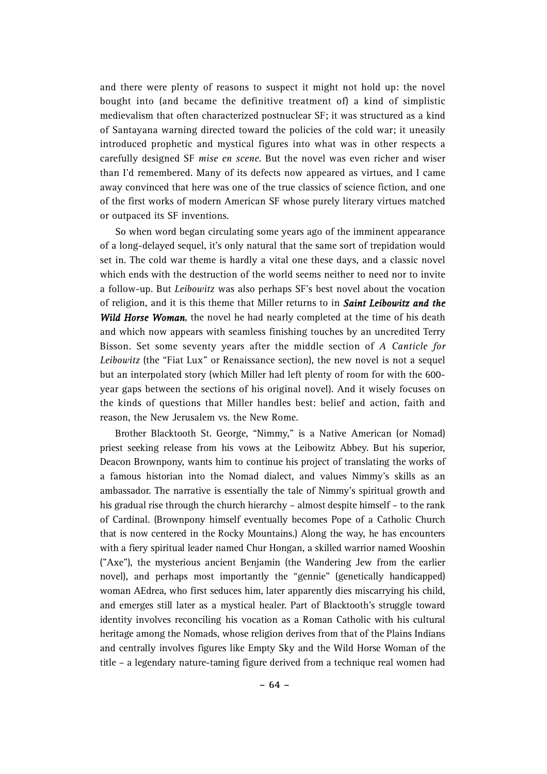and there were plenty of reasons to suspect it might not hold up: the novel bought into (and became the definitive treatment of) a kind of simplistic medievalism that often characterized postnuclear SF; it was structured as a kind of Santayana warning directed toward the policies of the cold war; it uneasily introduced prophetic and mystical figures into what was in other respects a carefully designed SF *mise en scene*. But the novel was even richer and wiser than I'd remembered. Many of its defects now appeared as virtues, and I came away convinced that here was one of the true classics of science fiction, and one of the first works of modern American SF whose purely literary virtues matched or outpaced its SF inventions.

So when word began circulating some years ago of the imminent appearance of a long-delayed sequel, it's only natural that the same sort of trepidation would set in. The cold war theme is hardly a vital one these days, and a classic novel which ends with the destruction of the world seems neither to need nor to invite a follow-up. But *Leibowitz* was also perhaps SF's best novel about the vocation of religion, and it is this theme that Miller returns to in *Saint Leibowitz and the Wild Horse Woman*, the novel he had nearly completed at the time of his death and which now appears with seamless finishing touches by an uncredited Terry Bisson. Set some seventy years after the middle section of *A Canticle for Leibowitz* (the "Fiat Lux" or Renaissance section), the new novel is not a sequel but an interpolated story (which Miller had left plenty of room for with the 600 year gaps between the sections of his original novel). And it wisely focuses on the kinds of questions that Miller handles best: belief and action, faith and reason, the New Jerusalem vs. the New Rome.

Brother Blacktooth St. George, "Nimmy," is a Native American (or Nomad) priest seeking release from his vows at the Leibowitz Abbey. But his superior, Deacon Brownpony, wants him to continue his project of translating the works of a famous historian into the Nomad dialect, and values Nimmy's skills as an ambassador. The narrative is essentially the tale of Nimmy's spiritual growth and his gradual rise through the church hierarchy – almost despite himself – to the rank of Cardinal. (Brownpony himself eventually becomes Pope of a Catholic Church that is now centered in the Rocky Mountains.) Along the way, he has encounters with a fiery spiritual leader named Chur Hongan, a skilled warrior named Wooshin ("Axe"), the mysterious ancient Benjamin (the Wandering Jew from the earlier novel), and perhaps most importantly the "gennie" (genetically handicapped) woman AEdrea, who first seduces him, later apparently dies miscarrying his child, and emerges still later as a mystical healer. Part of Blacktooth's struggle toward identity involves reconciling his vocation as a Roman Catholic with his cultural heritage among the Nomads, whose religion derives from that of the Plains Indians and centrally involves figures like Empty Sky and the Wild Horse Woman of the title – a legendary nature-taming figure derived from a technique real women had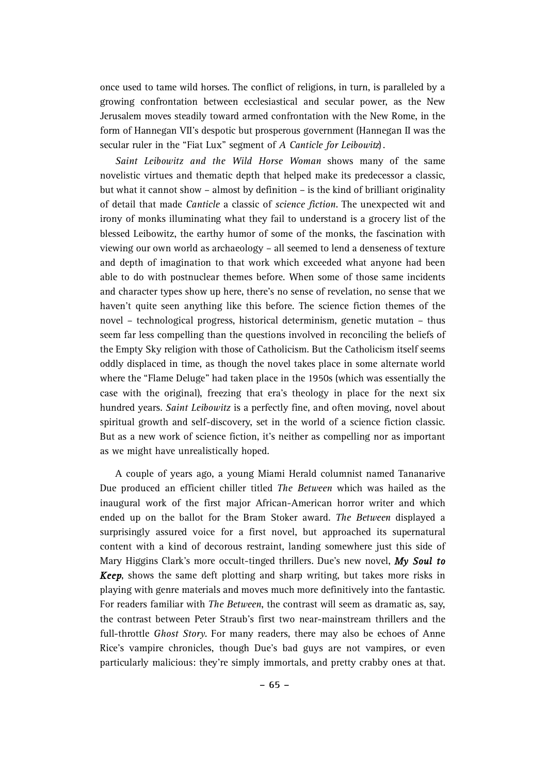once used to tame wild horses. The conflict of religions, in turn, is paralleled by a growing confrontation between ecclesiastical and secular power, as the New Jerusalem moves steadily toward armed confrontation with the New Rome, in the form of Hannegan VII's despotic but prosperous government (Hannegan II was the secular ruler in the "Fiat Lux" segment of *A Canticle for Leibowitz*) .

*Saint Leibowitz and the Wild Horse Woman shows many of the same* novelistic virtues and thematic depth that helped make its predecessor a classic, but what it cannot show – almost by definition – is the kind of brilliant originality of detail that made *Canticle* a classic of *science fiction*. The unexpected wit and irony of monks illuminating what they fail to understand is a grocery list of the blessed Leibowitz, the earthy humor of some of the monks, the fascination with viewing our own world as archaeology – all seemed to lend a denseness of texture and depth of imagination to that work which exceeded what anyone had been able to do with postnuclear themes before. When some of those same incidents and character types show up here, there's no sense of revelation, no sense that we haven't quite seen anything like this before. The science fiction themes of the novel – technological progress, historical determinism, genetic mutation – thus seem far less compelling than the questions involved in reconciling the beliefs of the Empty Sky religion with those of Catholicism. But the Catholicism itself seems oddly displaced in time, as though the novel takes place in some alternate world where the "Flame Deluge" had taken place in the 1950s (which was essentially the case with the original), freezing that era's theology in place for the next six hundred years. *Saint Leibowitz* is a perfectly fine, and often moving, novel about spiritual growth and self-discovery, set in the world of a science fiction classic. But as a new work of science fiction, it's neither as compelling nor as important as we might have unrealistically hoped.

A couple of years ago, a young Miami Herald columnist named Tananarive Due produced an efficient chiller titled *The Between* which was hailed as the inaugural work of the first major African-American horror writer and which ended up on the ballot for the Bram Stoker award. *The Between* displayed a surprisingly assured voice for a first novel, but approached its supernatural content with a kind of decorous restraint, landing somewhere just this side of Mary Higgins Clark's more occult-tinged thrillers. Due's new novel, *My Soul to Keep*, shows the same deft plotting and sharp writing, but takes more risks in playing with genre materials and moves much more definitively into the fantastic. For readers familiar with *The Between*, the contrast will seem as dramatic as, say, the contrast between Peter Straub's first two near-mainstream thrillers and the full-throttle *Ghost Story*. For many readers, there may also be echoes of Anne Rice's vampire chronicles, though Due's bad guys are not vampires, or even particularly malicious: they're simply immortals, and pretty crabby ones at that.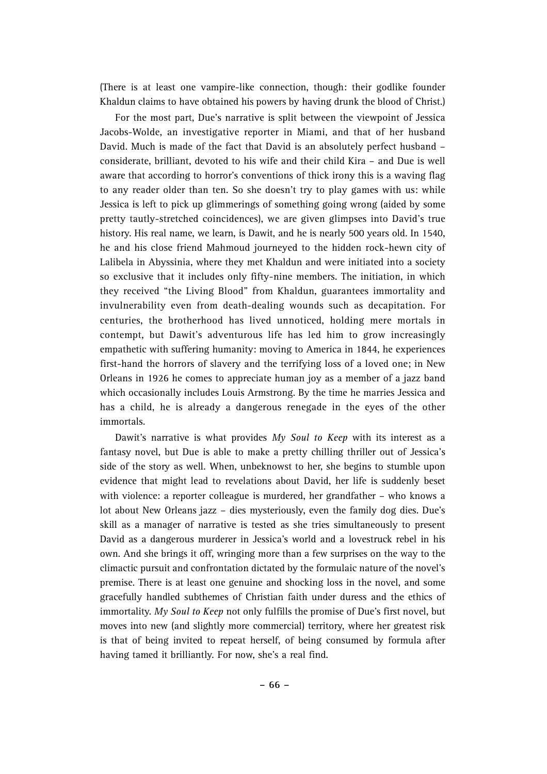(There is at least one vampire-like connection, though: their godlike founder Khaldun claims to have obtained his powers by having drunk the blood of Christ.)

For the most part, Due's narrative is split between the viewpoint of Jessica Jacobs-Wolde, an investigative reporter in Miami, and that of her husband David. Much is made of the fact that David is an absolutely perfect husband – considerate, brilliant, devoted to his wife and their child Kira – and Due is well aware that according to horror's conventions of thick irony this is a waving flag to any reader older than ten. So she doesn't try to play games with us: while Jessica is left to pick up glimmerings of something going wrong (aided by some pretty tautly-stretched coincidences), we are given glimpses into David's true history. His real name, we learn, is Dawit, and he is nearly 500 years old. In 1540, he and his close friend Mahmoud journeyed to the hidden rock-hewn city of Lalibela in Abyssinia, where they met Khaldun and were initiated into a society so exclusive that it includes only fifty-nine members. The initiation, in which they received "the Living Blood" from Khaldun, guarantees immortality and invulnerability even from death-dealing wounds such as decapitation. For centuries, the brotherhood has lived unnoticed, holding mere mortals in contempt, but Dawit's adventurous life has led him to grow increasingly empathetic with suffering humanity: moving to America in 1844, he experiences first-hand the horrors of slavery and the terrifying loss of a loved one; in New Orleans in 1926 he comes to appreciate human joy as a member of a jazz band which occasionally includes Louis Armstrong. By the time he marries Jessica and has a child, he is already a dangerous renegade in the eyes of the other immortals.

Dawit's narrative is what provides *My Soul to Keep* with its interest as a fantasy novel, but Due is able to make a pretty chilling thriller out of Jessica's side of the story as well. When, unbeknowst to her, she begins to stumble upon evidence that might lead to revelations about David, her life is suddenly beset with violence: a reporter colleague is murdered, her grandfather – who knows a lot about New Orleans jazz – dies mysteriously, even the family dog dies. Due's skill as a manager of narrative is tested as she tries simultaneously to present David as a dangerous murderer in Jessica's world and a lovestruck rebel in his own. And she brings it off, wringing more than a few surprises on the way to the climactic pursuit and confrontation dictated by the formulaic nature of the novel's premise. There is at least one genuine and shocking loss in the novel, and some gracefully handled subthemes of Christian faith under duress and the ethics of im mortality. *My Soul to Keep* not only fulfills the promise of Due's first novel, but moves into new (and slightly more commercial) territory, where her greatest risk is that of being invited to repeat herself, of being consumed by formula after having tamed it brilliantly. For now, she's a real find.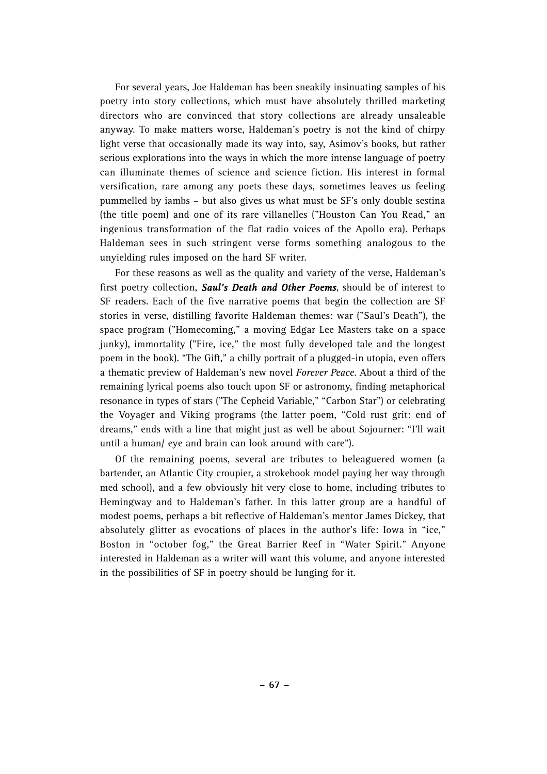For several years, Joe Haldeman has been sneakily insinuating samples of his poetry into story collections, which must have absolutely thrilled marketing directors who are convinced that story collections are already unsaleable anyway. To make matters worse, Haldeman's poetry is not the kind of chirpy light verse that occasionally made its way into, say, Asimov's books, but rather serious explorations into the ways in which the more intense language of poetry can illuminate themes of science and science fiction. His interest in formal versification, rare among any poets these days, sometimes leaves us feeling pummelled by iambs – but also gives us what must be SF's only double sestina (the title poem) and one of its rare villanelles ("Houston Can You Read," an ingenious transformation of the flat radio voices of the Apollo era). Perhaps Haldeman sees in such stringent verse forms something analogous to the unyielding rules imposed on the hard SF writer.

For these reasons as well as the quality and variety of the verse, Haldeman's first poetry collection, *Saul's Death and Other Poems*, should be of interest to SF readers. Each of the five narrative poems that begin the collection are SF stories in verse, distilling favorite Haldeman themes: war ("Saul's Death"), the space program ("Homecoming," a moving Edgar Lee Masters take on a space junky), immortality ("Fire, ice," the most fully developed tale and the longest poem in the book). "The Gift," a chilly portrait of a plugged-in utopia, even offers a thematic preview of Haldeman's new novel *Forever Peace*. About a third of the remaining lyrical poems also touch upon SF or astronomy, finding metaphorical resonance in types of stars ("The Cepheid Variable," "Carbon Star") or celebrating the Voyager and Viking programs (the latter poem, "Cold rust grit: end of dreams," ends with a line that might just as well be about Sojourner: "I'll wait until a human/ eye and brain can look around with care").

Of the remaining poems, several are tributes to beleaguered women (a bartender, an Atlantic City croupier, a strokebook model paying her way through med school), and a few obviously hit very close to home, including tributes to Hemingway and to Haldeman's father. In this latter group are a handful of modest poems, perhaps a bit reflective of Haldeman's mentor James Dickey, that absolutely glitter as evocations of places in the author's life: Iowa in "ice," Boston in "october fog," the Great Barrier Reef in "Water Spirit." Anyone interested in Haldeman as a writer will want this volume, and anyone interested in the possibilities of SF in poetry should be lunging for it.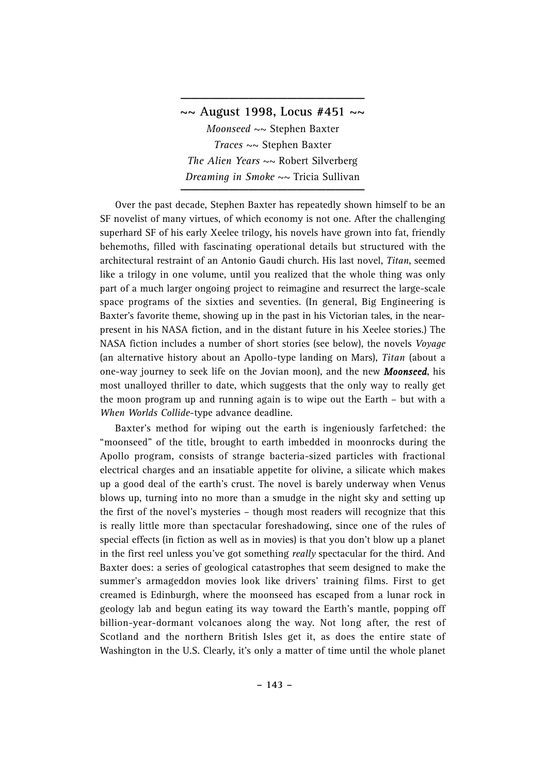## **~~ August 1998, Locus #451 ~~**

**\_\_\_\_\_\_\_\_\_\_\_\_\_\_\_\_\_\_\_**

*Moonseed* ~~ Stephen Baxter *Traces* ~~ Stephen Baxter *The Alien Years* ~~ Robert Silverberg *Dreaming in Smoke*  $\sim$  Tricia Sullivan

Over the past decade, Stephen Baxter has repeatedly shown himself to be an SF novelist of many virtues, of which economy is not one. After the challenging superhard SF of his early Xeelee trilogy, his novels have grown into fat, friendly behemoths, filled with fascinating operational details but structured with the architectural restraint of an Antonio Gaudi church. His last novel, *Titan*, seemed like a trilogy in one volume, until you realized that the whole thing was only part of a much larger ongoing project to reimagine and resurrect the large-scale space programs of the sixties and seventies. (In general, Big Engineering is Baxter's favorite theme, showing up in the past in his Victorian tales, in the nearpresent in his NASA fiction, and in the distant future in his Xeelee stories.) The NASA fiction includes a number of short stories (see below), the novels *Voyage* (an alternative history about an Apollo-type landing on Mars), *Titan* (about a one-way journey to seek life on the Jovian moon), and the new *Moonseed*, his most unalloyed thriller to date, which suggests that the only way to really get the moon program up and running again is to wipe out the Earth – but with a *When Worlds Collide*-type advance deadline.

Baxter's method for wiping out the earth is ingeniously farfetched: the "moonseed" of the title, brought to earth imbedded in moonrocks during the Apollo program, consists of strange bacteria-sized particles with fractional electrical charges and an insatiable appetite for olivine, a silicate which makes up a good deal of the earth's crust. The novel is barely underway when Venus blows up, turning into no more than a smudge in the night sky and setting up the first of the novel's mysteries – though most readers will recognize that this is really little more than spectacular foreshadowing, since one of the rules of special effects (in fiction as well as in movies) is that you don't blow up a planet in the first reel unless you've got something *really* spectacular for the third. And Baxter does: a series of geological catastrophes that seem designed to make the summer's armageddon movies look like drivers' training films. First to get creamed is Edinburgh, where the moonseed has escaped from a lunar rock in geology lab and begun eating its way toward the Earth's mantle, popping off billion-year-dormant volcanoes along the way. Not long after, the rest of Scotland and the northern British Isles get it, as does the entire state of Washington in the U.S. Clearly, it's only a matter of time until the whole planet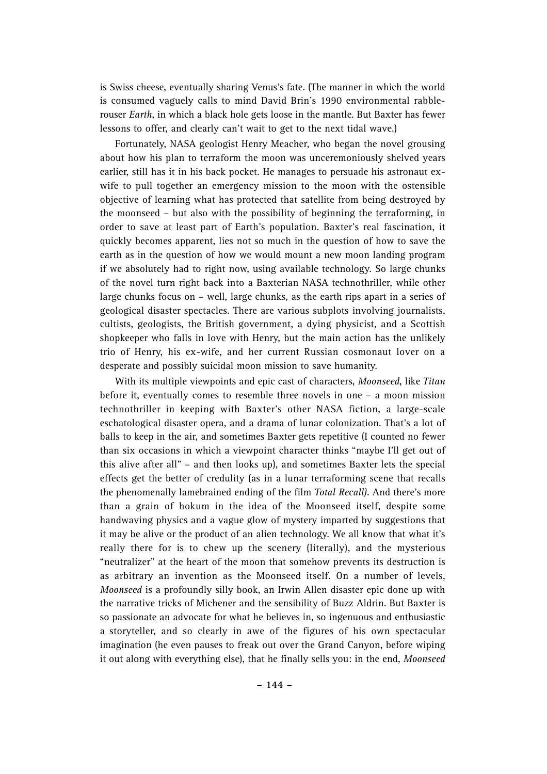is Swiss cheese, eventually sharing Venus's fate. (The manner in which the world is consumed vaguely calls to mind David Brin's 1990 environmental rabblerouser *Earth*, in which a black hole gets loose in the mantle. But Baxter has fewer lessons to offer, and clearly can't wait to get to the next tidal wave.)

Fortunately, NASA geologist Henry Meacher, who began the novel grousing about how his plan to terraform the moon was unceremoniously shelved years earlier, still has it in his back pocket. He manages to persuade his astronaut exwife to pull together an emergency mission to the moon with the ostensible objective of learning what has protected that satellite from being destroyed by the moonseed – but also with the possibility of beginning the terraforming, in order to save at least part of Earth's population. Baxter's real fascination, it quickly becomes apparent, lies not so much in the question of how to save the earth as in the question of how we would mount a new moon landing program if we absolutely had to right now, using available technology. So large chunks of the novel turn right back into a Baxterian NASA technothriller, while other large chunks focus on – well, large chunks, as the earth rips apart in a series of geological disaster spectacles. There are various subplots involving journalists, cultists, geologists, the British government, a dying physicist, and a Scottish shopkeeper who falls in love with Henry, but the main action has the unlikely trio of Henry, his ex-wife, and her current Russian cosmonaut lover on a desperate and possibly suicidal moon mission to save humanity.

With its multiple viewpoints and epic cast of characters, *Moonseed*, like *Titan* before it, eventually comes to resemble three novels in one – a moon mission technothriller in keeping with Baxter's other NASA fiction, a large-scale eschatological disaster opera, and a drama of lunar colonization. That's a lot of balls to keep in the air, and sometimes Baxter gets repetitive (I counted no fewer than six occasions in which a viewpoint character thinks "maybe I'll get out of this alive after all" – and then looks up), and sometimes Baxter lets the special effects get the better of credulity (as in a lunar terraforming scene that recalls the phenomenally lamebrained ending of the film *Total Recall)*. And there's more than a grain of hokum in the idea of the Moonseed itself, despite some handwaving physics and a vague glow of mystery imparted by suggestions that it may be alive or the product of an alien technology. We all know that what it's really there for is to chew up the scenery (literally), and the mysterious "neutralizer" at the heart of the moon that somehow prevents its destruction is as arbitrary an invention as the Moonseed itself. On a number of levels, *Moonseed* is a profoundly silly book, an Irwin Allen disaster epic done up with the narrative tricks of Michener and the sensibility of Buzz Aldrin. But Baxter is so passionate an advocate for what he believes in, so ingenuous and enthusiastic a storyteller, and so clearly in awe of the figures of his own spectacular imagination (he even pauses to freak out over the Grand Canyon, before wiping it out along with everything else), that he finally sells you: in the end, *Moonseed*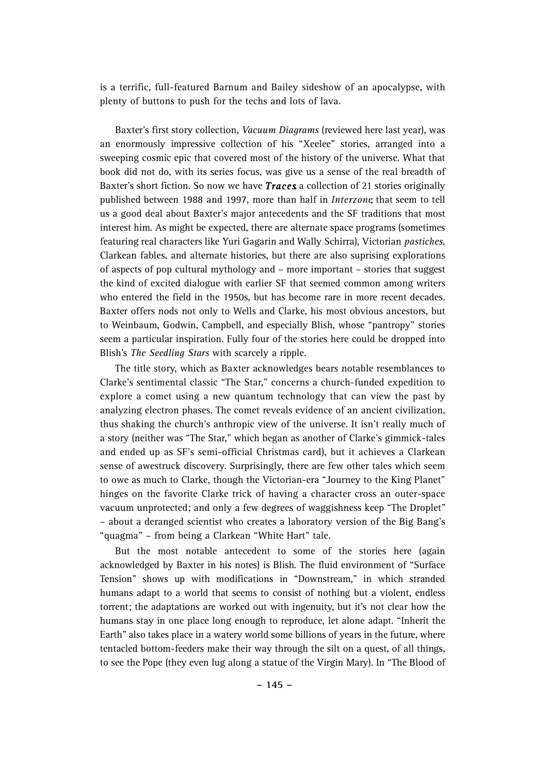is a terrific, full-featured Barnum and Bailey sideshow of an apocalypse, with plenty of buttons to push for the techs and lots of lava.

Baxter's first story collection, *Vacuum Diagrams* (reviewed here last year), was an enormously impressive collection of his "Xeelee" stories, arranged into a sweeping cosmic epic that covered most of the history of the universe. What that book did not do, with its series focus, was give us a sense of the real breadth of Baxter's short fiction. So now we have *Traces*, a collection of 21 stories originally published between 1988 and 1997, more than half in *Interzone*, that seem to tell us a good deal about Baxter's major antecedents and the SF traditions that most interest him. As might be expected, there are alternate space programs (sometimes featuring real characters like Yuri Gagarin and Wally Schirra), Victorian *pastiches*, Clarkean fables, and alternate histories, but there are also suprising explorations of aspects of pop cultural mythology and – more important – stories that suggest the kind of excited dialogue with earlier SF that seemed common among writers who entered the field in the 1950s, but has become rare in more recent decades. Baxter offers nods not only to Wells and Clarke, his most obvious ancestors, but to Weinbaum, Godwin, Campbell, and especially Blish, whose "pantropy" stories seem a particular inspiration. Fully four of the stories here could be dropped into Blish's *The Seedling Stars* with scarcely a ripple.

The title story, which as Baxter acknowledges bears notable resemblances to Clarke's sentimental classic "The Star," concerns a church-funded expedition to explore a comet using a new quantum technology that can view the past by analyzing electron phases. The comet reveals evidence of an ancient civilization, thus shaking the church's anthropic view of the universe. It isn't really much of a story (neither was "The Star," which began as another of Clarke's gimmick-tales and ended up as SF's semi-official Christmas card), but it achieves a Clarkean sense of awestruck discovery. Surprisingly, there are few other tales which seem to owe as much to Clarke, though the Victorian-era "Journey to the King Planet" hinges on the favorite Clarke trick of having a character cross an outer-space vacuum unprotected; and only a few degrees of waggishness keep "The Droplet" – about a deranged scientist who creates a laboratory version of the Big Bang's "quagma" – from being a Clarkean "White Hart" tale.

But the most notable antecedent to some of the stories here (again acknowledged by Baxter in his notes) is Blish. The fluid environment of "Surface Tension" shows up with modifications in "Downstream," in which stranded humans adapt to a world that seems to consist of nothing but a violent, endless torrent; the adaptations are worked out with ingenuity, but it's not clear how the humans stay in one place long enough to reproduce, let alone adapt. "Inherit the Earth" also takes place in a watery world some billions of years in the future, where tentacled bottom-feeders make their way through the silt on a quest, of all things, to see the Pope (they even lug along a statue of the Virgin Mary). In "The Blood of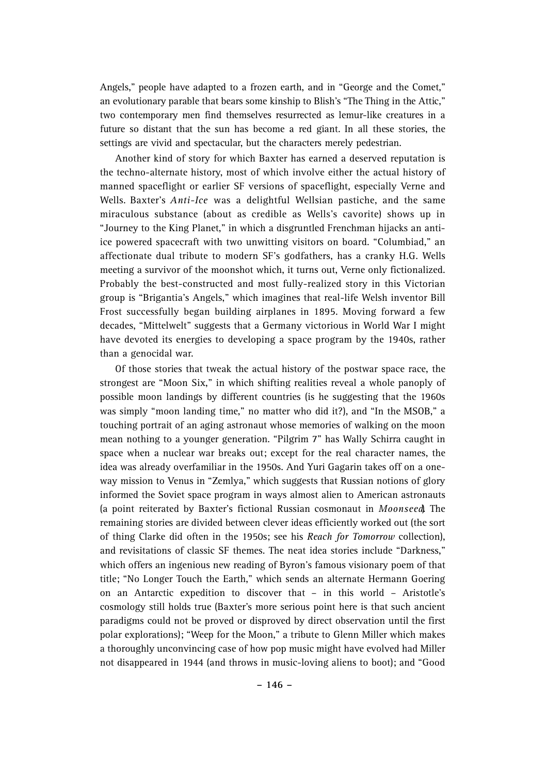Angels," people have adapted to a frozen earth, and in "George and the Comet," an evolutionary parable that bears some kinship to Blish's "The Thing in the Attic," two contemporary men find themselves resurrected as lemur-like creatures in a future so distant that the sun has become a red giant. In all these stories, the settings are vivid and spectacular, but the characters merely pedestrian.

Another kind of story for which Baxter has earned a deserved reputation is the techno-alternate history, most of which involve either the actual history of manned spaceflight or earlier SF versions of spaceflight, especially Verne and Wells. Baxter's *Anti-Ice* was a delightful Wellsian pastiche, and the same miraculous substance (about as credible as Wells's cavorite) shows up in "Journey to the King Planet," in which a disgruntled Frenchman hijacks an antiice powered spacecraft with two unwitting visitors on board. "Columbiad," an affectionate dual tribute to modern SF's godfathers, has a cranky H.G. Wells meeting a survivor of the moonshot which, it turns out, Verne only fictionalized. Probably the best-constructed and most fully-realized story in this Victorian group is "Brigantia's Angels," which imagines that real-life Welsh inventor Bill Frost successfully began building airplanes in 1895. Moving forward a few decades, "Mittelwelt" suggests that a Germany victorious in World War I might have devoted its energies to developing a space program by the 1940s, rather than a genocidal war.

Of those stories that tweak the actual history of the postwar space race, the strongest are "Moon Six," in which shifting realities reveal a whole panoply of possible moon landings by different countries (is he suggesting that the 1960s was simply "moon landing time," no matter who did it?), and "In the MSOB," a touching portrait of an aging astronaut whose memories of walking on the moon mean nothing to a younger generation. "Pilgrim 7" has Wally Schirra caught in space when a nuclear war breaks out; except for the real character names, the idea was already overfamiliar in the 1950s. And Yuri Gagarin takes off on a oneway mission to Venus in "Zemlya," which suggests that Russian notions of glory informed the Soviet space program in ways almost alien to American astronauts (a point reiterated by Baxter's fictional Russian cosmonaut in *Moonseed*, The remaining stories are divided between clever ideas efficiently worked out (the sort of thing Clarke did often in the 1950s; see his *Reach for Tomorrow* collection), and revisitations of classic SF themes. The neat idea stories include "Darkness," which offers an ingenious new reading of Byron's famous visionary poem of that title; "No Longer Touch the Earth," which sends an alternate Hermann Goering on an Antarctic expedition to discover that – in this world – Aristotle's cosmology still holds true (Baxter's more serious point here is that such ancient paradigms could not be proved or disproved by direct observation until the first polar explorations); "Weep for the Moon," a tribute to Glenn Miller which makes a thoroughly unconvincing case of how pop music might have evolved had Miller not disappeared in 1944 (and throws in music-loving aliens to boot); and "Good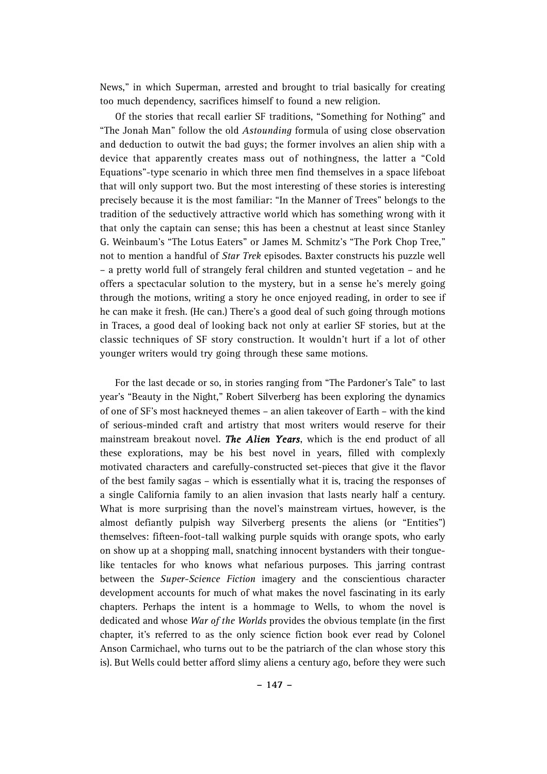News," in which Superman, arrested and brought to trial basically for creating too much dependency, sacrifices himself to found a new religion.

Of the stories that recall earlier SF traditions, "Something for Nothing" and "The Jonah Man" follow the old *Astounding* formula of using close observation and deduction to outwit the bad guys; the former involves an alien ship with a device that apparently creates mass out of nothingness, the latter a "Cold Equations"-type scenario in which three men find themselves in a space lifeboat that will only support two. But the most interesting of these stories is interesting precisely because it is the most familiar: "In the Manner of Trees" belongs to the tradition of the seductively attractive world which has something wrong with it that only the captain can sense; this has been a chestnut at least since Stanley G. Weinbaum's "The Lotus Eaters" or James M. Schmitz's "The Pork Chop Tree," not to mention a handful of *Star Trek* episodes. Baxter constructs his puzzle well – a pretty world full of strangely feral children and stunted vegetation – and he offers a spectacular solution to the mystery, but in a sense he's merely going through the motions, writing a story he once enjoyed reading, in order to see if he can make it fresh. (He can.) There's a good deal of such going through motions in Traces, a good deal of looking back not only at earlier SF stories, but at the classic techniques of SF story construction. It wouldn't hurt if a lot of other younger writers would try going through these same motions.

For the last decade or so, in stories ranging from "The Pardoner's Tale" to last year's "Beauty in the Night," Robert Silverberg has been exploring the dynamics of one of SF's most hackneyed themes – an alien takeover of Earth – with the kind of serious-minded craft and artistry that most writers would reserve for their mainstream breakout novel. *The Alien Years*, which is the end product of all these explorations, may be his best novel in years, filled with complexly motivated characters and carefully-constructed set-pieces that give it the flavor of the best family sagas – which is essentially what it is, tracing the responses of a single California family to an alien invasion that lasts nearly half a century. What is more surprising than the novel's mainstream virtues, however, is the almost defiantly pulpish way Silverberg presents the aliens (or "Entities") themselves: fifteen-foot-tall walking purple squids with orange spots, who early on show up at a shopping mall, snatching innocent bystanders with their tonguelike tentacles for who knows what nefarious purposes. This jarring contrast between the *Super-Science Fiction* imagery and the conscientious character development accounts for much of what makes the novel fascinating in its early chapters. Perhaps the intent is a hommage to Wells, to whom the novel is dedicated and whose *War of the Worlds* provides the obvious template (in the first chapter, it's referred to as the only science fiction book ever read by Colonel Anson Carmichael, who turns out to be the patriarch of the clan whose story this is). But Wells could better afford slimy aliens a century ago, before they were such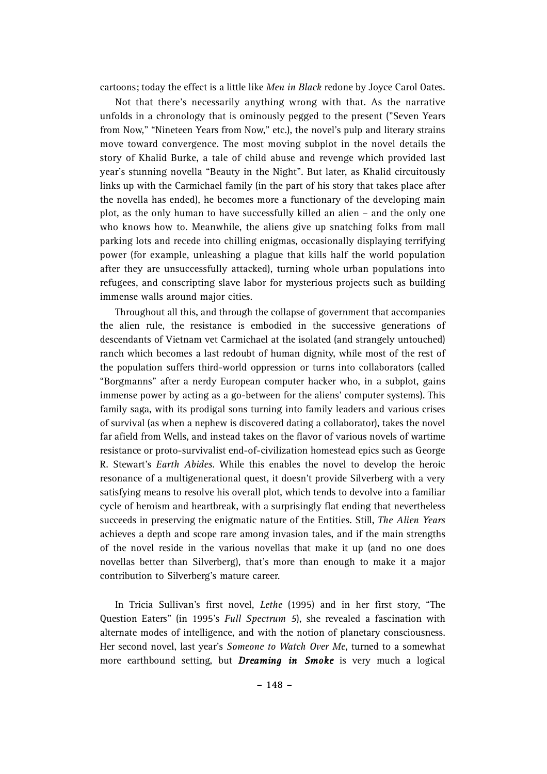cartoons; today the effect is a little like *Men in Black* redone by Joyce Carol Oates.

Not that there's necessarily anything wrong with that. As the narrative unfolds in a chronology that is ominously pegged to the present ("Seven Years from Now," "Nineteen Years from Now," etc.), the novel's pulp and literary strains move toward convergence. The most moving subplot in the novel details the story of Khalid Burke, a tale of child abuse and revenge which provided last year's stunning novella "Beauty in the Night". But later, as Khalid circuitously links up with the Carmichael family (in the part of his story that takes place after the novella has ended), he becomes more a functionary of the developing main plot, as the only human to have successfully killed an alien – and the only one who knows how to. Meanwhile, the aliens give up snatching folks from mall parking lots and recede into chilling enigmas, occasionally displaying terrifying power (for example, unleashing a plague that kills half the world population after they are unsuccessfully attacked), turning whole urban populations into refugees, and conscripting slave labor for mysterious projects such as building immense walls around major cities.

Throughout all this, and through the collapse of government that accompanies the alien rule, the resistance is embodied in the successive generations of descendants of Vietnam vet Carmichael at the isolated (and strangely untouched) ranch which becomes a last redoubt of human dignity, while most of the rest of the population suffers third-world oppression or turns into collaborators (called "Borgmanns" after a nerdy European computer hacker who, in a subplot, gains immense power by acting as a go-between for the aliens' computer systems). This family saga, with its prodigal sons turning into family leaders and various crises of survival (as when a nephew is discovered dating a collaborator), takes the novel far afield from Wells, and instead takes on the flavor of various novels of wartime resistance or proto-survivalist end-of-civilization homestead epics such as George R. Stewart's *Earth Abides*. While this enables the novel to develop the heroic resonance of a multigenerational quest, it doesn't provide Silverberg with a very satisfying means to resolve his overall plot, which tends to devolve into a familiar cycle of heroism and heartbreak, with a surprisingly flat ending that nevertheless succeeds in preserving the enigmatic nature of the Entities. Still, *The Alien Years* achieves a depth and scope rare among invasion tales, and if the main strengths of the novel reside in the various novellas that make it up (and no one does novellas better than Silverberg), that's more than enough to make it a major contribution to Silverberg's mature career.

In Tricia Sullivan's first novel, *Lethe* (1995) and in her first story, "The Question Eaters" (in 1995's *Full Spectrum 5*), she revealed a fascination with alternate modes of intelligence, and with the notion of planetary consciousness. Her second novel, last year's *Someone to Watch Over Me*, turned to a somewhat more earthbound setting, but *Dreaming in Smoke* is very much a logical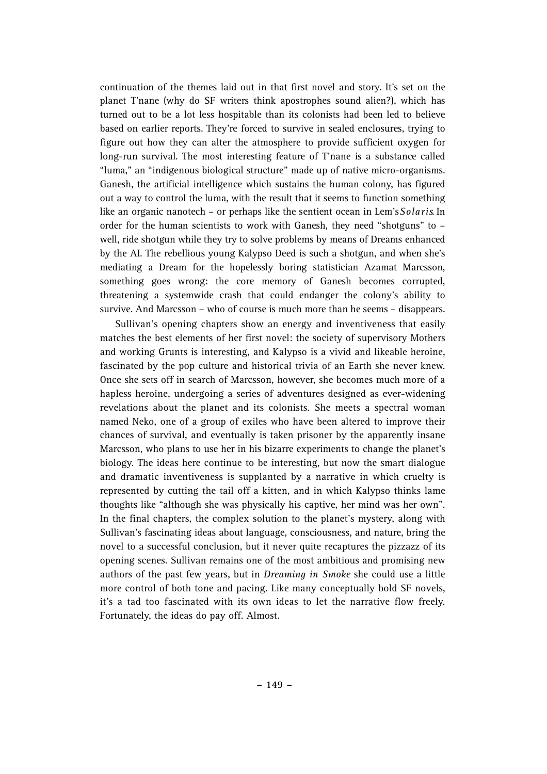continuation of the themes laid out in that first novel and story. It's set on the planet T'nane (why do SF writers think apostrophes sound alien?), which has turned out to be a lot less hospitable than its colonists had been led to believe based on earlier reports. They're forced to survive in sealed enclosures, trying to figure out how they can alter the atmosphere to provide sufficient oxygen for long-run survival. The most interesting feature of T'nane is a substance called "luma," an "indigenous biological structure" made up of native micro-organisms. Ganesh, the artificial intelligence which sustains the human colony, has figured out a way to control the luma, with the result that it seems to function something like an organic nanotech – or perhaps like the sentient ocean in Lem's *Solaris* In order for the human scientists to work with Ganesh, they need "shotguns" to – well, ride shotgun while they try to solve problems by means of Dreams enhanced by the AI. The rebellious young Kalypso Deed is such a shotgun, and when she's mediating a Dream for the hopelessly boring statistician Azamat Marcsson, something goes wrong: the core memory of Ganesh becomes corrupted, threatening a systemwide crash that could endanger the colony's ability to survive. And Marcsson – who of course is much more than he seems – disappears.

Sullivan's opening chapters show an energy and inventiveness that easily matches the best elements of her first novel: the society of supervisory Mothers and working Grunts is interesting, and Kalypso is a vivid and likeable heroine, fascinated by the pop culture and historical trivia of an Earth she never knew. Once she sets off in search of Marcsson, however, she becomes much more of a hapless heroine, undergoing a series of adventures designed as ever-widening revelations about the planet and its colonists. She meets a spectral woman named Neko, one of a group of exiles who have been altered to improve their chances of survival, and eventually is taken prisoner by the apparently insane Marcsson, who plans to use her in his bizarre experiments to change the planet's biology. The ideas here continue to be interesting, but now the smart dialogue and dramatic inventiveness is supplanted by a narrative in which cruelty is represented by cutting the tail off a kitten, and in which Kalypso thinks lame thoughts like "although she was physically his captive, her mind was her own". In the final chapters, the complex solution to the planet's mystery, along with Sullivan's fascinating ideas about language, consciousness, and nature, bring the novel to a successful conclusion, but it never quite recaptures the pizzazz of its opening scenes. Sullivan remains one of the most ambitious and promising new authors of the past few years, but in *Dreaming in Smoke* she could use a little more control of both tone and pacing. Like many conceptually bold SF novels, it's a tad too fascinated with its own ideas to let the narrative flow freely. Fortunately, the ideas do pay off. Almost.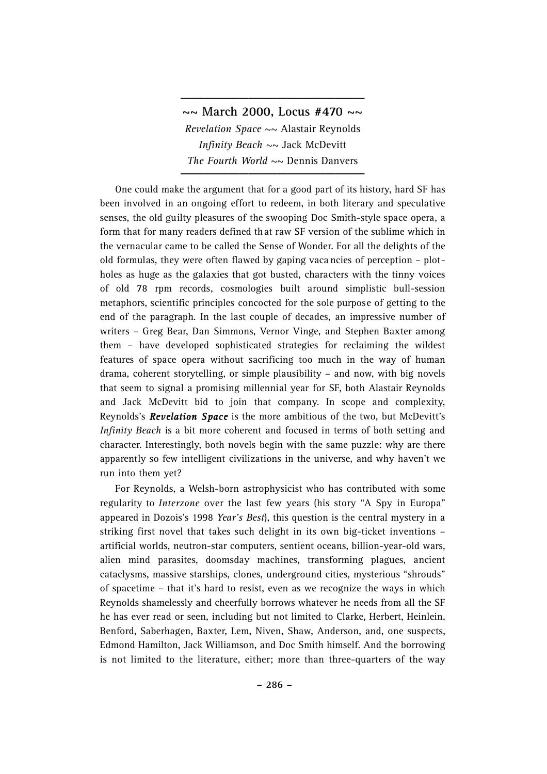## **~~ March 2000, Locus #470 ~~** *Revelation Space* ~~ Alastair Reynolds *Infinity Beach* ~~ Jack McDevitt *The Fourth World*  $\sim$  Dennis Danvers

**\_\_\_\_\_\_\_\_\_\_\_\_\_\_\_\_\_\_\_**

One could make the argument that for a good part of its history, hard SF has been involved in an ongoing effort to redeem, in both literary and speculative senses, the old guilty pleasures of the swooping Doc Smith-style space opera, a form that for many readers defined that raw SF version of the sublime which in the vernacular came to be called the Sense of Wonder. For all the delights of the old formulas, they were often flawed by gaping vaca ncies of perception – plotholes as huge as the galaxies that got busted, characters with the tinny voices of old 78 rpm records, cosmologies built around simplistic bull-session metaphors, scientific principles concocted for the sole purpose of getting to the end of the paragraph. In the last couple of decades, an impressive number of writers – Greg Bear, Dan Simmons, Vernor Vinge, and Stephen Baxter among them – have developed sophisticated strategies for reclaiming the wildest features of space opera without sacrificing too much in the way of human drama, coherent storytelling, or simple plausibility – and now, with big novels that seem to signal a promising millennial year for SF, both Alastair Reynolds and Jack McDevitt bid to join that company. In scope and complexity, Reynolds's *Revelation Space* is the more ambitious of the two, but McDevitt's *Infinity Beach* is a bit more coherent and focused in terms of both setting and character. Interestingly, both novels begin with the same puzzle: why are there apparently so few intelligent civilizations in the universe, and why haven't we run into them yet?

For Reynolds, a Welsh-born astrophysicist who has contributed with some regularity to *Interzone* over the last few years (his story "A Spy in Europa" appeared in Dozois's 1998 *Year's Best*), this question is the central mystery in a striking first novel that takes such delight in its own big-ticket inventions – artificial worlds, neutron-star computers, sentient oceans, billion-year-old wars, alien mind parasites, doomsday machines, transforming plagues, ancient cataclysms, massive starships, clones, underground cities, mysterious "shrouds" of spacetime – that it's hard to resist, even as we recognize the ways in which Reynolds shamelessly and cheerfully borrows whatever he needs from all the SF he has ever read or seen, including but not limited to Clarke, Herbert, Heinlein, Benford, Saberhagen, Baxter, Lem, Niven, Shaw, Anderson, and, one suspects, Edmond Hamilton, Jack Williamson, and Doc Smith himself. And the borrowing is not limited to the literature, either; more than three-quarters of the way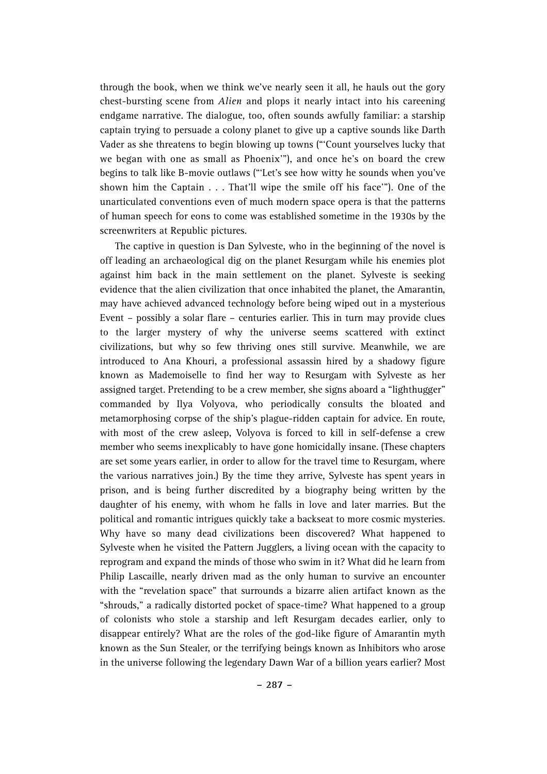through the book, when we think we've nearly seen it all, he hauls out the gory chest-bursting scene from *Alien* and plops it nearly intact into his careening endgame narrative. The dialogue, too, often sounds awfully familiar: a starship captain trying to persuade a colony planet to give up a captive sounds like Darth Vader as she threatens to begin blowing up towns ("'Count yourselves lucky that we began with one as small as Phoenix'"), and once he's on board the crew begins to talk like B-movie outlaws ("'Let's see how witty he sounds when you've shown him the Captain . . . That'll wipe the smile off his face'"). One of the unarticulated conventions even of much modern space opera is that the patterns of human speech for eons to come was established sometime in the 1930s by the screenwriters at Republic pictures.

The captive in question is Dan Sylveste, who in the beginning of the novel is off leading an archaeological dig on the planet Resurgam while his enemies plot against him back in the main settlement on the planet. Sylveste is seeking evidence that the alien civilization that once inhabited the planet, the Amarantin, may have achieved advanced technology before being wiped out in a mysterious Event – possibly a solar flare – centuries earlier. This in turn may provide clues to the larger mystery of why the universe seems scattered with extinct civilizations, but why so few thriving ones still survive. Meanwhile, we are introduced to Ana Khouri, a professional assassin hired by a shadowy figure known as Mademoiselle to find her way to Resurgam with Sylveste as her assigned target. Pretending to be a crew member, she signs aboard a "lighthugger" commanded by Ilya Volyova, who periodically consults the bloated and metamorphosing corpse of the ship's plague-ridden captain for advice. En route, with most of the crew asleep, Volyova is forced to kill in self-defense a crew member who seems inexplicably to have gone homicidally insane. (These chapters are set some years earlier, in order to allow for the travel time to Resurgam, where the various narratives join.) By the time they arrive, Sylveste has spent years in prison, and is being further discredited by a biography being written by the daughter of his enemy, with whom he falls in love and later marries. But the political and romantic intrigues quickly take a backseat to more cosmic mysteries. Why have so many dead civilizations been discovered? What happened to Sylveste when he visited the Pattern Jugglers, a living ocean with the capacity to reprogram and expand the minds of those who swim in it? What did he learn from Philip Lascaille, nearly driven mad as the only human to survive an encounter with the "revelation space" that surrounds a bizarre alien artifact known as the "shrouds," a radically distorted pocket of space-time? What happened to a group of colonists who stole a starship and left Resurgam decades earlier, only to disappear entirely? What are the roles of the god-like figure of Amarantin myth known as the Sun Stealer, or the terrifying beings known as Inhibitors who arose in the universe following the legendary Dawn War of a billion years earlier? Most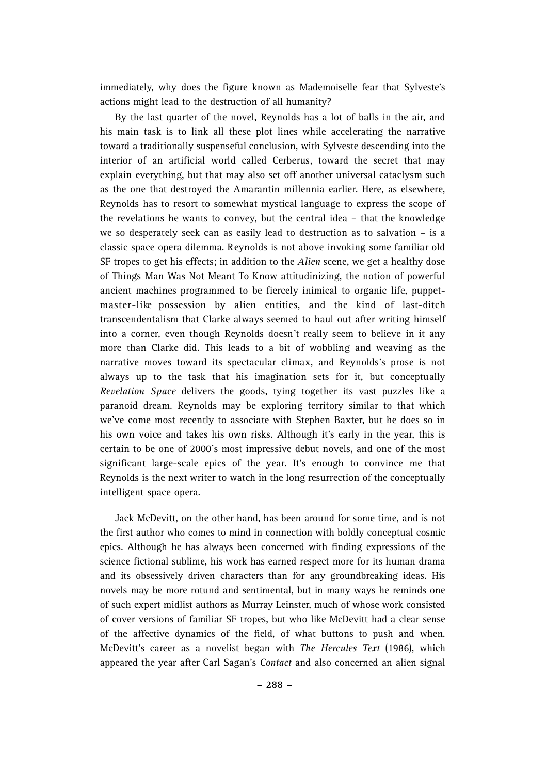im mediately, why does the figure known as Mademoiselle fear that Sylveste's actions might lead to the destruction of all humanity?

By the last quarter of the novel, Reynolds has a lot of balls in the air, and his main task is to link all these plot lines while accelerating the narrative toward a traditionally suspenseful conclusion, with Sylveste descending into the interior of an artificial world called Cerberus, toward the secret that may explain everything, but that may also set off another universal cataclysm such as the one that destroyed the Amarantin millennia earlier. Here, as elsewhere, Reynolds has to resort to somewhat mystical language to express the scope of the revelations he wants to convey, but the central idea – that the knowledge we so desperately seek can as easily lead to destruction as to salvation – is a classic space opera dilemma. Reynolds is not above invoking some familiar old SF tropes to get his effects; in addition to the *Alien* scene, we get a healthy dose of Things Man Was Not Meant To Know attitudinizing, the notion of powerful ancient machines programmed to be fiercely inimical to organic life, puppetmaster-like possession by alien entities, and the kind of last-ditch transcendentalism that Clarke always seemed to haul out after writing himself into a corner, even though Reynolds doesn't really seem to believe in it any more than Clarke did. This leads to a bit of wobbling and weaving as the narrative moves toward its spectacular climax, and Reynolds's prose is not always up to the task that his imagination sets for it, but conceptually *Revelation Space* delivers the goods, tying together its vast puzzles like a paranoid dream. Reynolds may be exploring territory similar to that which we've come most recently to associate with Stephen Baxter, but he does so in his own voice and takes his own risks. Although it's early in the year, this is certain to be one of 2000's most impressive debut novels, and one of the most significant large-scale epics of the year. It's enough to convince me that Reynolds is the next writer to watch in the long resurrection of the conceptually intelligent space opera.

Jack McDevitt, on the other hand, has been around for some time, and is not the first author who comes to mind in connection with boldly conceptual cosmic epics. Although he has always been concerned with finding expressions of the science fictional sublime, his work has earned respect more for its human drama and its obsessively driven characters than for any groundbreaking ideas. His novels may be more rotund and sentimental, but in many ways he reminds one of such expert midlist authors as Murray Leinster, much of whose work consisted of cover versions of familiar SF tropes, but who like McDevitt had a clear sense of the affective dynamics of the field, of what buttons to push and when. McDevitt's career as a novelist began with *The Hercules Text* (1986), which appeared the year after Carl Sagan's *Contact* and also concerned an alien signal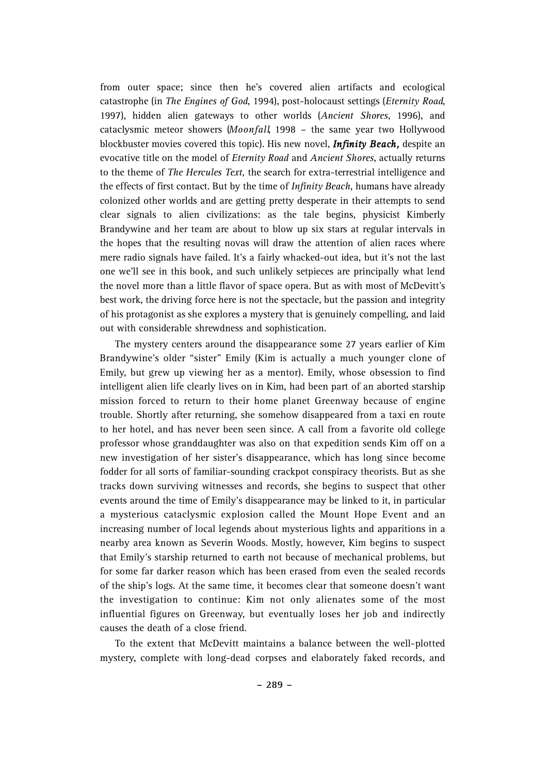from outer space; since then he's covered alien artifacts and ecological catastrophe (in *The Engines of God*, 1994), post-holocaust settings (*Eternity Road*, 1997), hidden alien gateways to other worlds (*Ancient Shores*, 1996), and cataclysmic meteor showers (Moonfall, 1998 - the same year two Hollywood blockbuster movies covered this topic). His new novel, *Infinity Beach,* despite an evocative title on the model of *Eternity Road* and *Ancient Shores*, actually returns to the theme of *The Hercules Text*, the search for extra-terrestrial intelligence and the effects of first contact. But by the time of *Infinity Beach*, humans have already colonized other worlds and are getting pretty desperate in their attempts to send clear signals to alien civilizations: as the tale begins, physicist Kimberly Brandywine and her team are about to blow up six stars at regular intervals in the hopes that the resulting novas will draw the attention of alien races where mere radio signals have failed. It's a fairly whacked-out idea, but it's not the last one we'll see in this book, and such unlikely setpieces are principally what lend the novel more than a little flavor of space opera. But as with most of McDevitt's best work, the driving force here is not the spectacle, but the passion and integrity of his protagonist as she explores a mystery that is genuinely compelling, and laid out with considerable shrewdness and sophistication.

The mystery centers around the disappearance some 27 years earlier of Kim Brandywine's older "sister" Emily (Kim is actually a much younger clone of Emily, but grew up viewing her as a mentor). Emily, whose obsession to find intelligent alien life clearly lives on in Kim, had been part of an aborted starship mission forced to return to their home planet Greenway because of engine trouble. Shortly after returning, she somehow disappeared from a taxi en route to her hotel, and has never been seen since. A call from a favorite old college professor whose granddaughter was also on that expedition sends Kim off on a new investigation of her sister's disappearance, which has long since become fodder for all sorts of familiar-sounding crackpot conspiracy theorists. But as she tracks down surviving witnesses and records, she begins to suspect that other events around the time of Emily's disappearance may be linked to it, in particular a mysterious cataclysmic explosion called the Mount Hope Event and an increasing number of local legends about mysterious lights and apparitions in a nearby area known as Severin Woods. Mostly, however, Kim begins to suspect that Emily's starship returned to earth not because of mechanical problems, but for some far darker reason which has been erased from even the sealed records of the ship's logs. At the same time, it becomes clear that someone doesn't want the investigation to continue: Kim not only alienates some of the most influential figures on Greenway, but eventually loses her job and indirectly causes the death of a close friend.

To the extent that McDevitt maintains a balance between the well-plotted mystery, complete with long-dead corpses and elaborately faked records, and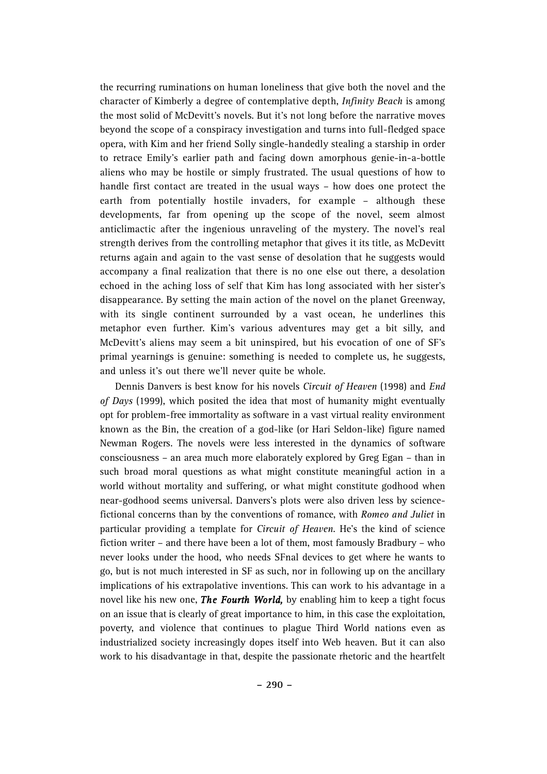the recurring ruminations on human loneliness that give both the novel and the character of Kimberly a degree of contemplative depth, *Infinity Beach* is among the most solid of McDevitt's novels. But it's not long before the narrative moves beyond the scope of a conspiracy investigation and turns into full-fledged space opera, with Kim and her friend Solly single-handedly stealing a starship in order to retrace Emily's earlier path and facing down amorphous genie-in-a-bottle aliens who may be hostile or simply frustrated. The usual questions of how to handle first contact are treated in the usual ways – how does one protect the earth from potentially hostile invaders, for example – although these developments, far from opening up the scope of the novel, seem almost anticlimactic after the ingenious unraveling of the mystery. The novel's real strength derives from the controlling metaphor that gives it its title, as McDevitt returns again and again to the vast sense of desolation that he suggests would accompany a final realization that there is no one else out there, a desolation echoed in the aching loss of self that Kim has long associated with her sister's disappearance. By setting the main action of the novel on the planet Greenway, with its single continent surrounded by a vast ocean, he underlines this metaphor even further. Kim's various adventures may get a bit silly, and McDevitt's aliens may seem a bit uninspired, but his evocation of one of SF's primal yearnings is genuine: something is needed to complete us, he suggests, and unless it's out there we'll never quite be whole.

Dennis Danvers is best know for his novels *Circuit of Heaven* (1998) and *End of Days* (1999), which posited the idea that most of humanity might eventually opt for problem-free immortality as software in a vast virtual reality environment known as the Bin, the creation of a god-like (or Hari Seldon-like) figure named Newman Rogers. The novels were less interested in the dynamics of software consciousness – an area much more elaborately explored by Greg Egan – than in such broad moral questions as what might constitute meaningful action in a world without mortality and suffering, or what might constitute godhood when near-godhood seems universal. Danvers's plots were also driven less by sciencefictional concerns than by the conventions of romance, with *Romeo and Juliet* i n particular providing a template for *Circuit of Heaven*. He's the kind of science fiction writer – and there have been a lot of them, most famously Bradbury – who never looks under the hood, who needs SFnal devices to get where he wants to go, but is not much interested in SF as such, nor in following up on the ancillary implications of his extrapolative inventions. This can work to his advantage in a novel like his new one, *The Fourth World,* by enabling him to keep a tight focus on an issue that is clearly of great importance to him, in this case the exploitation, poverty, and violence that continues to plague Third World nations even as industrialized society increasingly dopes itself into Web heaven. But it can also work to his disadvantage in that, despite the passionate rhetoric and the heartfelt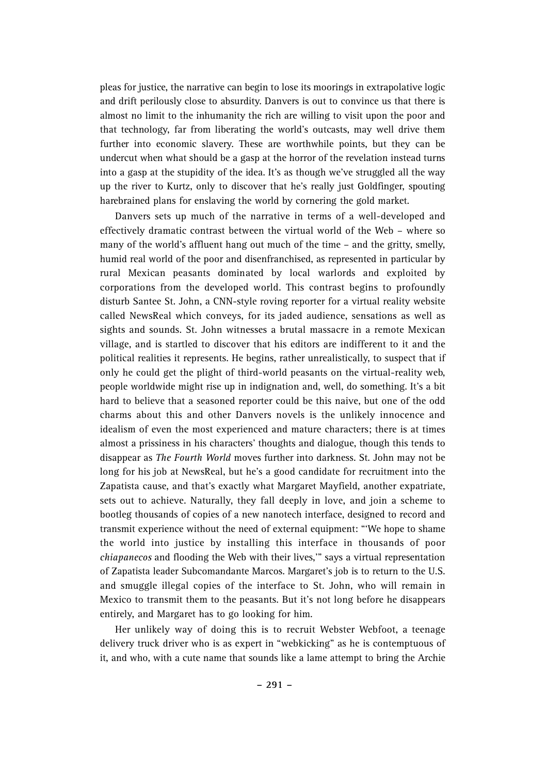pleas for justice, the narrative can begin to lose its moorings in extrapolative logic and drift perilously close to absurdity. Danvers is out to convince us that there is almost no limit to the inhumanity the rich are willing to visit upon the poor and that technology, far from liberating the world's outcasts, may well drive them further into economic slavery. These are worthwhile points, but they can be undercut when what should be a gasp at the horror of the revelation instead turns into a gasp at the stupidity of the idea. It's as though we've struggled all the way up the river to Kurtz, only to discover that he's really just Goldfinger, spouting harebrained plans for enslaving the world by cornering the gold market.

Danvers sets up much of the narrative in terms of a well-developed and effectively dramatic contrast between the virtual world of the Web – where so many of the world's affluent hang out much of the time – and the gritty, smelly, humid real world of the poor and disenfranchised, as represented in particular by rural Mexican peasants dominated by local warlords and exploited by corporations from the developed world. This contrast begins to profoundly disturb Santee St. John, a CNN-style roving reporter for a virtual reality website called NewsReal which conveys, for its jaded audience, sensations as well as sights and sounds. St. John witnesses a brutal massacre in a remote Mexican village, and is startled to discover that his editors are indifferent to it and the political realities it represents. He begins, rather unrealistically, to suspect that if only he could get the plight of third-world peasants on the virtual-reality web, people worldwide might rise up in indignation and, well, do something. It's a bit hard to believe that a seasoned reporter could be this naive, but one of the odd charms about this and other Danvers novels is the unlikely innocence and idealism of even the most experienced and mature characters; there is at times almost a prissiness in his characters' thoughts and dialogue, though this tends to disappear as *The Fourth World* moves further into darkness. St. John may not be long for his job at NewsReal, but he's a good candidate for recruitment into the Zapatista cause, and that's exactly what Margaret Mayfield, another expatriate, sets out to achieve. Naturally, they fall deeply in love, and join a scheme to bootleg thousands of copies of a new nanotech interface, designed to record and transmit experience without the need of external equipment: "'We hope to shame the world into justice by installing this interface in thousands of poor *chiapanecos* and flooding the Web with their lives,'" says a virtual representation of Zapatista leader Subcomandante Marcos. Margaret's job is to return to the U.S. and smuggle illegal copies of the interface to St. John, who will remain in Mexico to transmit them to the peasants. But it's not long before he disappears entirely, and Margaret has to go looking for him.

Her unlikely way of doing this is to recruit Webster Webfoot, a teenage delivery truck driver who is as expert in "webkicking" as he is contemptuous of it, and who, with a cute name that sounds like a lame attempt to bring the Archie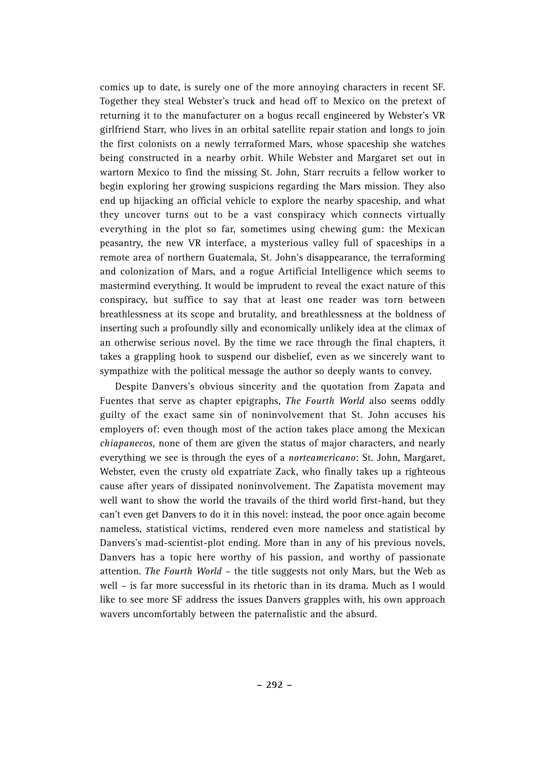comics up to date, is surely one of the more annoying characters in recent SF. Together they steal Webster's truck and head off to Mexico on the pretext of returning it to the manufacturer on a bogus recall engineered by Webster's VR girlfriend Starr, who lives in an orbital satellite repair station and longs to join the first colonists on a newly terraformed Mars, whose spaceship she watches being constructed in a nearby orbit. While Webster and Margaret set out in wartorn Mexico to find the missing St. John, Starr recruits a fellow worker to begin exploring her growing suspicions regarding the Mars mission. They also end up hijacking an official vehicle to explore the nearby spaceship, and what they uncover turns out to be a vast conspiracy which connects virtually everything in the plot so far, sometimes using chewing gum: the Mexican peasantry, the new VR interface, a mysterious valley full of spaceships in a remote area of northern Guatemala, St. John's disappearance, the terraforming and colonization of Mars, and a rogue Artificial Intelligence which seems to mastermind everything. It would be imprudent to reveal the exact nature of this conspiracy, but suffice to say that at least one reader was torn between breathlessness at its scope and brutality, and breathlessness at the boldness of inserting such a profoundly silly and economically unlikely idea at the climax of an otherwise serious novel. By the time we race through the final chapters, it takes a grappling hook to suspend our disbelief, even as we sincerely want to sympathize with the political message the author so deeply wants to convey.

Despite Danvers's obvious sincerity and the quotation from Zapata and Fuentes that serve as chapter epigraphs, *The Fourth World* also seems oddly guilty of the exact same sin of noninvolvement that St. John accuses his employers of: even though most of the action takes place among the Mexican *chiapanecos*, none of them are given the status of major characters, and nearly everything we see is through the eyes of a *norteamericano*: St. John, Margaret, Webster, even the crusty old expatriate Zack, who finally takes up a righteous cause after years of dissipated noninvolvement. The Zapatista movement may well want to show the world the travails of the third world first-hand, but they can't even get Danvers to do it in this novel: instead, the poor once again become nameless, statistical victims, rendered even more nameless and statistical by Danvers's mad-scientist-plot ending. More than in any of his previous novels, Danvers has a topic here worthy of his passion, and worthy of passionate attention. *The Fourth World* – the title suggests not only Mars, but the Web as well – is far more successful in its rhetoric than in its drama. Much as I would like to see more SF address the issues Danvers grapples with, his own approach wavers uncomfortably between the paternalistic and the absurd.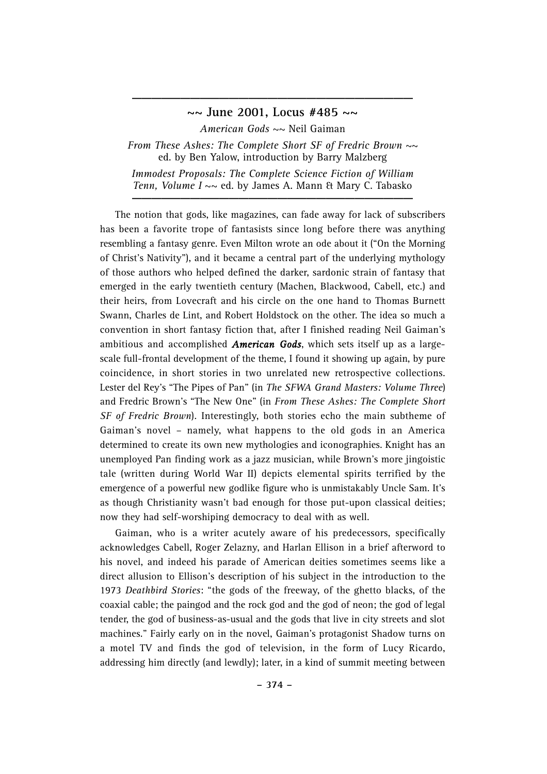### **~~ June 2001, Locus #485 ~~**

**\_\_\_\_\_\_\_\_\_\_\_\_\_\_\_\_\_\_\_\_\_\_\_\_\_\_\_\_\_**

*American Gods* ~~ Neil Gaiman

*From These Ashes: The Complete Short SF of Fredric Brown ~~*  ed. by Ben Yalow, introduction by Barry Malzberg *Immodest Proposals: The Complete Science Fiction of William Tenn, Volume I*  $\sim$  ed. by James A. Mann & Mary C. Tabasko

The notion that gods, like magazines, can fade away for lack of subscribers has been a favorite trope of fantasists since long before there was anything resembling a fantasy genre. Even Milton wrote an ode about it ("On the Morning of Christ's Nativity"), and it became a central part of the underlying mythology of those authors who helped defined the darker, sardonic strain of fantasy that emerged in the early twentieth century (Machen, Blackwood, Cabell, etc.) and their heirs, from Lovecraft and his circle on the one hand to Thomas Burnett Swann, Charles de Lint, and Robert Holdstock on the other. The idea so much a convention in short fantasy fiction that, after I finished reading Neil Gaiman's ambitious and accomplished *American Gods*, which sets itself up as a largescale full-frontal development of the theme, I found it showing up again, by pure coincidence, in short stories in two unrelated new retrospective collections. Lester del Rey's "The Pipes of Pan" (in *The SFWA Grand Masters: Volume Three*) and Fredric Brown's "The New One" (in *From These Ashes: The Complete Short SF of Fredric Brown*). Interestingly, both stories echo the main subtheme of Gaiman's novel – namely, what happens to the old gods in an America determined to create its own new mythologies and iconographies. Knight has an unemployed Pan finding work as a jazz musician, while Brown's more jingoistic tale (written during World War II) depicts elemental spirits terrified by the emergence of a powerful new godlike figure who is unmistakably Uncle Sam. It's as though Christianity wasn't bad enough for those put-upon classical deities; now they had self-worshiping democracy to deal with as well.

Gaiman, who is a writer acutely aware of his predecessors, specifically acknowledges Cabell, Roger Zelazny, and Harlan Ellison in a brief afterword to his novel, and indeed his parade of American deities sometimes seems like a direct allusion to Ellison's description of his subject in the introduction to the 1973 *Deathbird Stories*: "the gods of the freeway, of the ghetto blacks, of the coaxial cable; the paingod and the rock god and the god of neon; the god of legal tender, the god of business-as-usual and the gods that live in city streets and slot machines." Fairly early on in the novel, Gaiman's protagonist Shadow turns on a motel TV and finds the god of television, in the form of Lucy Ricardo, addressing him directly (and lewdly); later, in a kind of summit meeting between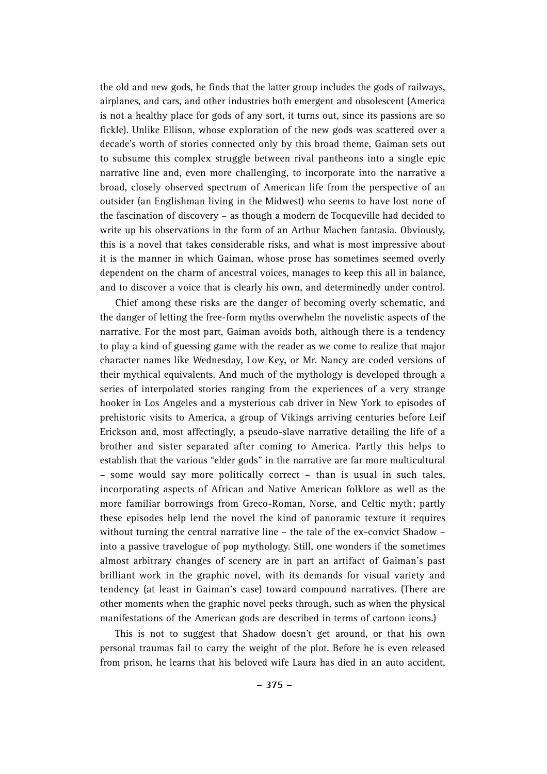the old and new gods, he finds that the latter group includes the gods of railways, airplanes, and cars, and other industries both emergent and obsolescent (America is not a healthy place for gods of any sort, it turns out, since its passions are so fickle). Unlike Ellison, whose exploration of the new gods was scattered over a decade's worth of stories connected only by this broad theme, Gaiman sets out to subsume this complex struggle between rival pantheons into a single epic narrative line and, even more challenging, to incorporate into the narrative a broad, closely observed spectrum of American life from the perspective of an outsider (an Englishman living in the Midwest) who seems to have lost none of the fascination of discovery – as though a modern de Tocqueville had decided to write up his observations in the form of an Arthur Machen fantasia. Obviously, this is a novel that takes considerable risks, and what is most impressive about it is the manner in which Gaiman, whose prose has sometimes seemed overly dependent on the charm of ancestral voices, manages to keep this all in balance, and to discover a voice that is clearly his own, and determinedly under control.

Chief among these risks are the danger of becoming overly schematic, and the danger of letting the free-form myths overwhelm the novelistic aspects of the narrative. For the most part, Gaiman avoids both, although there is a tendency to play a kind of guessing game with the reader as we come to realize that major character names like Wednesday, Low Key, or Mr. Nancy are coded versions of their mythical equivalents. And much of the mythology is developed through a series of interpolated stories ranging from the experiences of a very strange hooker in Los Angeles and a mysterious cab driver in New York to episodes of prehistoric visits to America, a group of Vikings arriving centuries before Leif Erickson and, most affectingly, a pseudo-slave narrative detailing the life of a brother and sister separated after coming to America. Partly this helps to establish that the various "elder gods" in the narrative are far more multicultural – some would say more politically correct – than is usual in such tales, incorporating aspects of African and Native American folklore as well as the more familiar borrowings from Greco-Roman, Norse, and Celtic myth; partly these episodes help lend the novel the kind of panoramic texture it requires without turning the central narrative line – the tale of the ex-convict Shadow – into a passive travelogue of pop mythology. Still, one wonders if the sometimes almost arbitrary changes of scenery are in part an artifact of Gaiman's past brilliant work in the graphic novel, with its demands for visual variety and tendency (at least in Gaiman's case) toward compound narratives. (There are other moments when the graphic novel peeks through, such as when the physical manifestations of the American gods are described in terms of cartoon icons.)

This is not to suggest that Shadow doesn't get around, or that his own personal traumas fail to carry the weight of the plot. Before he is even released from prison, he learns that his beloved wife Laura has died in an auto accident,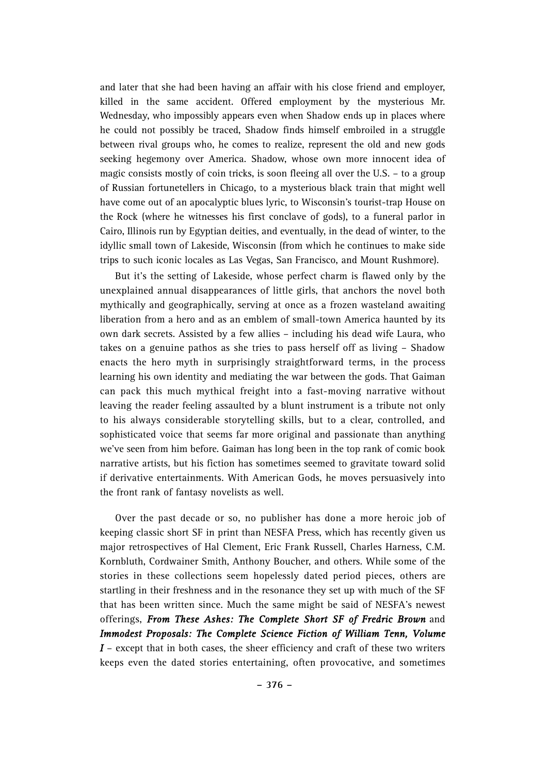and later that she had been having an affair with his close friend and employer, killed in the same accident. Offered employment by the mysterious Mr. Wednesday, who impossibly appears even when Shadow ends up in places where he could not possibly be traced, Shadow finds himself embroiled in a struggle between rival groups who, he comes to realize, represent the old and new gods seeking hegemony over America. Shadow, whose own more innocent idea of magic consists mostly of coin tricks, is soon fleeing all over the U.S. – to a group of Russian fortunetellers in Chicago, to a mysterious black train that might well have come out of an apocalyptic blues lyric, to Wisconsin's tourist-trap House on the Rock (where he witnesses his first conclave of gods), to a funeral parlor in Cairo, Illinois run by Egyptian deities, and eventually, in the dead of winter, to the idyllic small town of Lakeside, Wisconsin (from which he continues to make side trips to such iconic locales as Las Vegas, San Francisco, and Mount Rushmore).

But it's the setting of Lakeside, whose perfect charm is flawed only by the unexplained annual disappearances of little girls, that anchors the novel both mythically and geographically, serving at once as a frozen wasteland awaiting liberation from a hero and as an emblem of small-town America haunted by its own dark secrets. Assisted by a few allies – including his dead wife Laura, who takes on a genuine pathos as she tries to pass herself off as living – Shadow enacts the hero myth in surprisingly straightforward terms, in the process learning his own identity and mediating the war between the gods. That Gaiman can pack this much mythical freight into a fast-moving narrative without leaving the reader feeling assaulted by a blunt instrument is a tribute not only to his always considerable storytelling skills, but to a clear, controlled, and sophisticated voice that seems far more original and passionate than anything we've seen from him before. Gaiman has long been in the top rank of comic book narrative artists, but his fiction has sometimes seemed to gravitate toward solid if derivative entertainments. With American Gods, he moves persuasively into the front rank of fantasy novelists as well.

Over the past decade or so, no publisher has done a more heroic job of keeping classic short SF in print than NESFA Press, which has recently given us major retrospectives of Hal Clement, Eric Frank Russell, Charles Harness, C.M. Kornbluth, Cordwainer Smith, Anthony Boucher, and others. While some of the stories in these collections seem hopelessly dated period pieces, others are startling in their freshness and in the resonance they set up with much of the SF that has been written since. Much the same might be said of NESFA's newest offerings, *From These Ashes: The Complete Short SF of Fredric Brown* and *Immodest Proposals: The Complete Science Fiction of William Tenn, Volume I* – except that in both cases, the sheer efficiency and craft of these two writers keeps even the dated stories entertaining, often provocative, and sometimes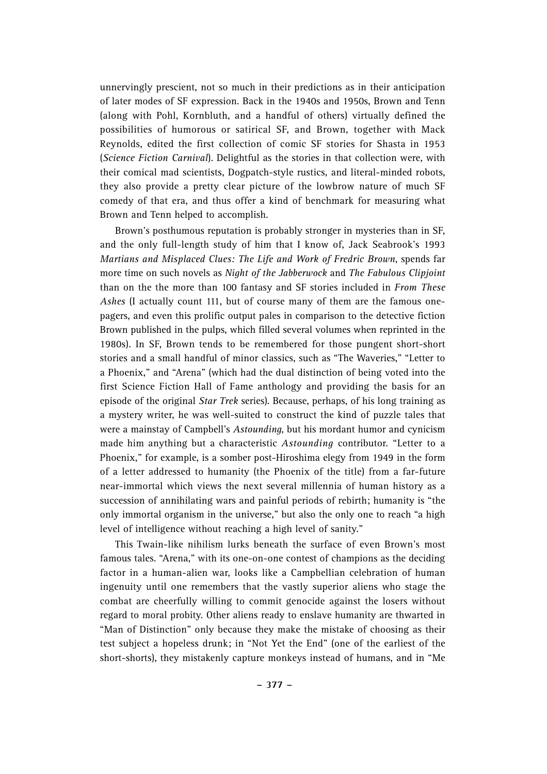unnervingly prescient, not so much in their predictions as in their anticipation of later modes of SF expression. Back in the 1940s and 1950s, Brown and Tenn (along with Pohl, Kornbluth, and a handful of others) virtually defined the possibilities of humorous or satirical SF, and Brown, together with Mack Reynolds, edited the first collection of comic SF stories for Shasta in 1953 (*Science Fiction Carnival*). Delightful as the stories in that collection were, with their comical mad scientists, Dogpatch-style rustics, and literal-minded robots, they also provide a pretty clear picture of the lowbrow nature of much SF comedy of that era, and thus offer a kind of benchmark for measuring what Brown and Tenn helped to accomplish.

Brown's posthumous reputation is probably stronger in mysteries than in SF, and the only full-length study of him that I know of, Jack Seabrook's 1993 *Martians and Misplaced Clues: The Life and Work of Fredric Brown*, spends far more time on such novels as *Night of the Jabberwock* and *The Fabulous Clipjoint* than on the the more than 100 fantasy and SF stories included in *From These Ashes* (I actually count 111, but of course many of them are the famous onepagers, and even this prolific output pales in comparison to the detective fiction Brown published in the pulps, which filled several volumes when reprinted in the 1980s). In SF, Brown tends to be remembered for those pungent short-short stories and a small handful of minor classics, such as "The Waveries," "Letter to a Phoenix," and "Arena" (which had the dual distinction of being voted into the first Science Fiction Hall of Fame anthology and providing the basis for an episode of the original *Star Trek* series). Because, perhaps, of his long training as a mystery writer, he was well-suited to construct the kind of puzzle tales that were a mainstay of Campbell's *Astounding*, but his mordant humor and cynicism made him anything but a characteristic *Astounding* contributor. "Letter to a Phoenix," for example, is a somber post-Hiroshima elegy from 1949 in the form of a letter addressed to humanity (the Phoenix of the title) from a far-future near-immortal which views the next several millennia of human history as a succession of annihilating wars and painful periods of rebirth; humanity is "the only immortal organism in the universe," but also the only one to reach "a high level of intelligence without reaching a high level of sanity."

This Twain-like nihilism lurks beneath the surface of even Brown's most famous tales. "Arena," with its one-on-one contest of champions as the deciding factor in a human-alien war, looks like a Campbellian celebration of human ingenuity until one remembers that the vastly superior aliens who stage the combat are cheerfully willing to commit genocide against the losers without regard to moral probity. Other aliens ready to enslave humanity are thwarted in "Man of Distinction" only because they make the mistake of choosing as their test subject a hopeless drunk; in "Not Yet the End" (one of the earliest of the short-shorts), they mistakenly capture monkeys instead of humans, and in "Me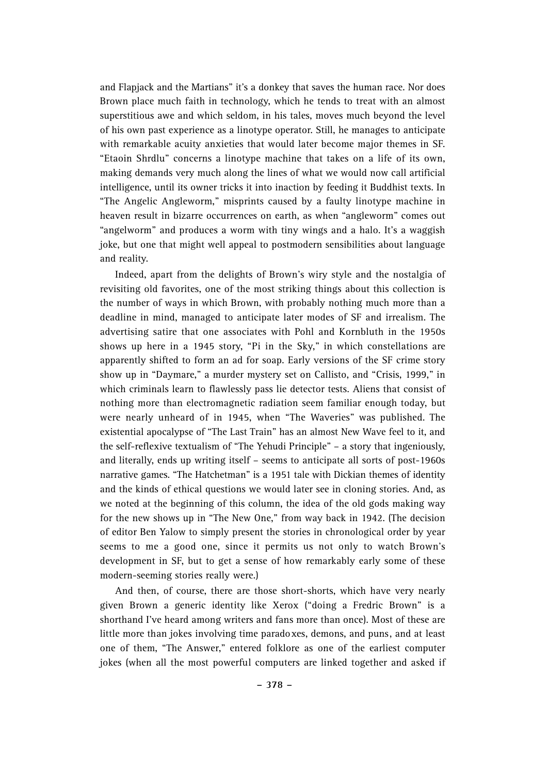and Flapjack and the Martians" it's a donkey that saves the human race. Nor does Brown place much faith in technology, which he tends to treat with an almost superstitious awe and which seldom, in his tales, moves much beyond the level of his own past experience as a linotype operator. Still, he manages to anticipate with remarkable acuity anxieties that would later become major themes in SF. "Etaoin Shrdlu" concerns a linotype machine that takes on a life of its own, making demands very much along the lines of what we would now call artificial intelligence, until its owner tricks it into inaction by feeding it Buddhist texts. In "The Angelic Angleworm," misprints caused by a faulty linotype machine in heaven result in bizarre occurrences on earth, as when "angleworm" comes out "angelworm" and produces a worm with tiny wings and a halo. It's a waggish joke, but one that might well appeal to postmodern sensibilities about language and reality.

Indeed, apart from the delights of Brown's wiry style and the nostalgia of revisiting old favorites, one of the most striking things about this collection is the number of ways in which Brown, with probably nothing much more than a deadline in mind, managed to anticipate later modes of SF and irrealism. The advertising satire that one associates with Pohl and Kornbluth in the 1950s shows up here in a 1945 story, "Pi in the Sky," in which constellations are apparently shifted to form an ad for soap. Early versions of the SF crime story show up in "Daymare," a murder mystery set on Callisto, and "Crisis, 1999," in which criminals learn to flawlessly pass lie detector tests. Aliens that consist of nothing more than electromagnetic radiation seem familiar enough today, but were nearly unheard of in 1945, when "The Waveries" was published. The existential apocalypse of "The Last Train" has an almost New Wave feel to it, and the self-reflexive textualism of "The Yehudi Principle" – a story that ingeniously, and literally, ends up writing itself – seems to anticipate all sorts of post-1960s narrative games. "The Hatchetman" is a 1951 tale with Dickian themes of identity and the kinds of ethical questions we would later see in cloning stories. And, as we noted at the beginning of this column, the idea of the old gods making way for the new shows up in "The New One," from way back in 1942. (The decision of editor Ben Yalow to simply present the stories in chronological order by year seems to me a good one, since it permits us not only to watch Brown's development in SF, but to get a sense of how remarkably early some of these modern-seeming stories really were.)

And then, of course, there are those short-shorts, which have very nearly given Brown a generic identity like Xerox ("doing a Fredric Brown" is a shorthand I've heard among writers and fans more than once). Most of these are little more than jokes involving time paradoxes, demons, and puns, and at least one of them, "The Answer," entered folklore as one of the earliest computer jokes (when all the most powerful computers are linked together and asked if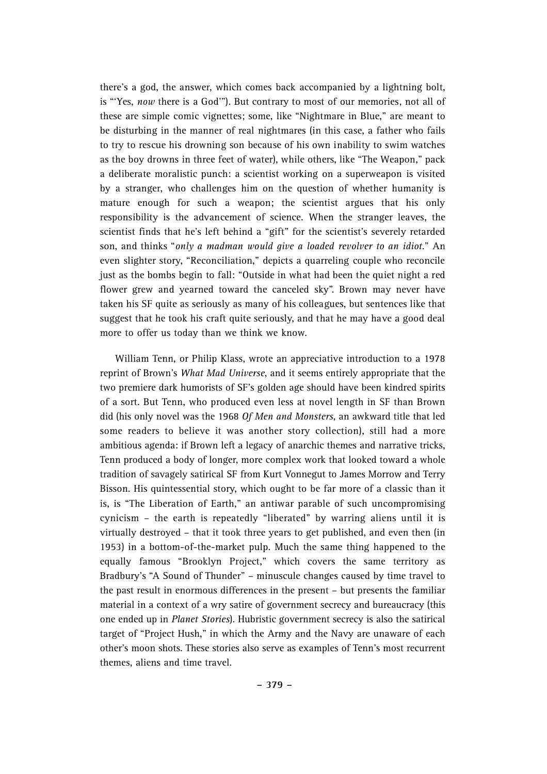there's a god, the answer, which comes back accompanied by a lightning bolt, is "Yes, *now* there is a God"). But contrary to most of our memories, not all of these are simple comic vignettes; some, like "Nightmare in Blue," are meant to be disturbing in the manner of real nightmares (in this case, a father who fails to try to rescue his drowning son because of his own inability to swim watches as the boy drowns in three feet of water), while others, like "The Weapon," pack a deliberate moralistic punch: a scientist working on a superweapon is visited by a stranger, who challenges him on the question of whether humanity is mature enough for such a weapon; the scientist argues that his only responsibility is the advancement of science. When the stranger leaves, the scientist finds that he's left behind a "gift" for the scientist's severely retarded son, and thinks "*only a madman would give a loaded revolver to an idiot*." An even slighter story, "Reconciliation," depicts a quarreling couple who reconcile just as the bombs begin to fall: "Outside in what had been the quiet night a red flower grew and yearned toward the canceled sky". Brown may never have taken his SF quite as seriously as many of his colleagues, but sentences like that suggest that he took his craft quite seriously, and that he may have a good deal more to offer us today than we think we know.

William Tenn, or Philip Klass, wrote an appreciative introduction to a 1978 reprint of Brown's *What Mad Universe*, and it seems entirely appropriate that the two premiere dark humorists of SF's golden age should have been kindred spirits of a sort. But Tenn, who produced even less at novel length in SF than Brown did (his only novel was the 1968 *Of Men and Monsters*, an awkward title that led some readers to believe it was another story collection), still had a more ambitious agenda: if Brown left a legacy of anarchic themes and narrative tricks, Tenn produced a body of longer, more complex work that looked toward a whole tradition of savagely satirical SF from Kurt Vonnegut to James Morrow and Terry Bisson. His quintessential story, which ought to be far more of a classic than it is, is "The Liberation of Earth," an antiwar parable of such uncompromising cynicism – the earth is repeatedly "liberated" by warring aliens until it is virtually destroyed – that it took three years to get published, and even then (in 1953) in a bottom-of-the-market pulp. Much the same thing happened to the equally famous "Brooklyn Project," which covers the same territory as Bradbury's "A Sound of Thunder" – minuscule changes caused by time travel to the past result in enormous differences in the present – but presents the familiar material in a context of a wry satire of government secrecy and bureaucracy (this one ended up in *Planet Stories*). Hubristic government secrecy is also the satirical target of "Project Hush," in which the Army and the Navy are unaware of each other's moon shots. These stories also serve as examples of Tenn's most recurrent themes, aliens and time travel.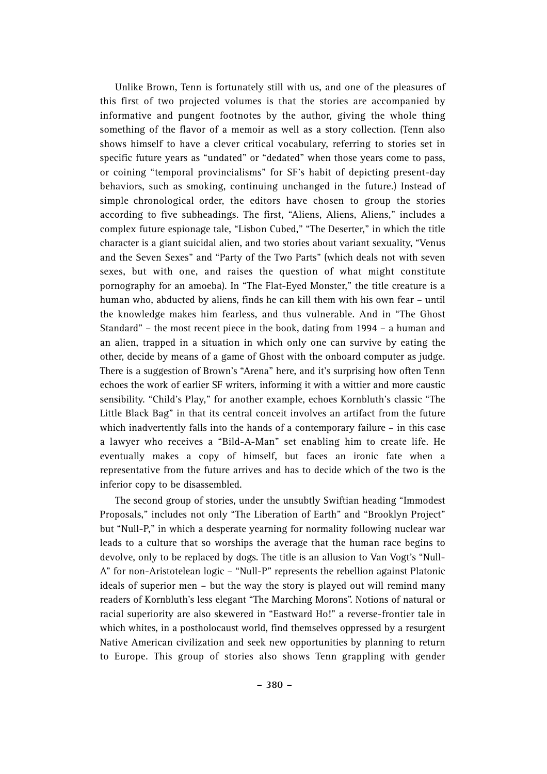Unlike Brown, Tenn is fortunately still with us, and one of the pleasures of this first of two projected volumes is that the stories are accompanied by informative and pungent footnotes by the author, giving the whole thing something of the flavor of a memoir as well as a story collection. (Tenn also shows himself to have a clever critical vocabulary, referring to stories set in specific future years as "undated" or "dedated" when those years come to pass, or coining "temporal provincialisms" for SF's habit of depicting present-day behaviors, such as smoking, continuing unchanged in the future.) Instead of simple chronological order, the editors have chosen to group the stories according to five subheadings. The first, "Aliens, Aliens, Aliens," includes a complex future espionage tale, "Lisbon Cubed," "The Deserter," in which the title character is a giant suicidal alien, and two stories about variant sexuality, "Venus and the Seven Sexes" and "Party of the Two Parts" (which deals not with seven sexes, but with one, and raises the question of what might constitute pornography for an amoeba). In "The Flat-Eyed Monster," the title creature is a human who, abducted by aliens, finds he can kill them with his own fear – until the knowledge makes him fearless, and thus vulnerable. And in "The Ghost Standard" – the most recent piece in the book, dating from 1994 – a human and an alien, trapped in a situation in which only one can survive by eating the other, decide by means of a game of Ghost with the onboard computer as judge. There is a suggestion of Brown's "Arena" here, and it's surprising how often Tenn echoes the work of earlier SF writers, informing it with a wittier and more caustic sensibility. "Child's Play," for another example, echoes Kornbluth's classic "The Little Black Bag" in that its central conceit involves an artifact from the future which inadvertently falls into the hands of a contemporary failure – in this case a lawyer who receives a "Bild-A-Man" set enabling him to create life. He eventually makes a copy of himself, but faces an ironic fate when a representative from the future arrives and has to decide which of the two is the inferior copy to be disassembled.

The second group of stories, under the unsubtly Swiftian heading "Immodest Proposals," includes not only "The Liberation of Earth" and "Brooklyn Project" but "Null-P," in which a desperate yearning for normality following nuclear war leads to a culture that so worships the average that the human race begins to devolve, only to be replaced by dogs. The title is an allusion to Van Vogt's "Null-A" for non-Aristotelean logic – "Null-P" represents the rebellion against Platonic ideals of superior men – but the way the story is played out will remind many readers of Kornbluth's less elegant "The Marching Morons". Notions of natural or racial superiority are also skewered in "Eastward Ho!" a reverse-frontier tale in which whites, in a postholocaust world, find themselves oppressed by a resurgent Native American civilization and seek new opportunities by planning to return to Europe. This group of stories also shows Tenn grappling with gender